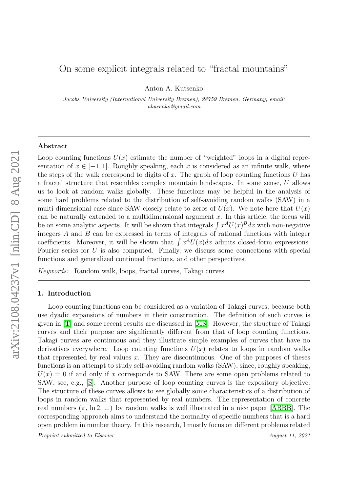# On some explicit integrals related to "fractal mountains"

Anton A. Kutsenko

Jacobs University (International University Bremen), 28759 Bremen, Germany; email: akucenko@gmail.com

### Abstract

Loop counting functions  $U(x)$  estimate the number of "weighted" loops in a digital representation of  $x \in [-1, 1]$ . Roughly speaking, each x is considered as an infinite walk, where the steps of the walk correspond to digits of x. The graph of loop counting functions  $U$  has a fractal structure that resembles complex mountain landscapes. In some sense, U allows us to look at random walks globally. These functions may be helpful in the analysis of some hard problems related to the distribution of self-avoiding random walks (SAW) in a multi-dimensional case since SAW closely relate to zeros of  $U(x)$ . We note here that  $U(x)$ can be naturally extended to a multidimensional argument  $x$ . In this article, the focus will be on some analytic aspects. It will be shown that integrals  $\int x^A U(x)^B dx$  with non-negative integers A and B can be expressed in terms of integrals of rational functions with integer coefficients. Moreover, it will be shown that  $\int x^A U(x)dx$  admits closed-form expressions. Fourier series for  $U$  is also computed. Finally, we discuss some connections with special functions and generalized continued fractions, and other perspectives.

Keywords: Random walk, loops, fractal curves, Takagi curves

# 1. Introduction

Loop counting functions can be considered as a variation of Takagi curves, because both use dyadic expansions of numbers in their construction. The definition of such curves is given in [\[T\]](#page-25-0) and some recent results are discussed in [\[MS\]](#page-25-1). However, the structure of Takagi curves and their purpose are significantly different from that of loop counting functions. Takagi curves are continuous and they illustrate simple examples of curves that have no derivatives everywhere. Loop counting functions  $U(x)$  relates to loops in random walks that represented by real values  $x$ . They are discontinuous. One of the purposes of theses functions is an attempt to study self-avoiding random walks (SAW), since, roughly speaking,  $U(x) = 0$  if and only if x corresponds to SAW. There are some open problems related to SAW, see, e.g., [\[S\]](#page-25-2). Another purpose of loop counting curves is the expository objective. The structure of these curves allows to see globally some characteristics of a distribution of loops in random walks that represented by real numbers. The representation of concrete real numbers  $(\pi, \ln 2, ...)$  by random walks is well illustrated in a nice paper [\[ABBB\]](#page-25-3). The corresponding approach aims to understand the normality of specific numbers that is a hard open problem in number theory. In this research, I mostly focus on different problems related

Preprint submitted to Elsevier and the series of the August 11, 2021 August 11, 2021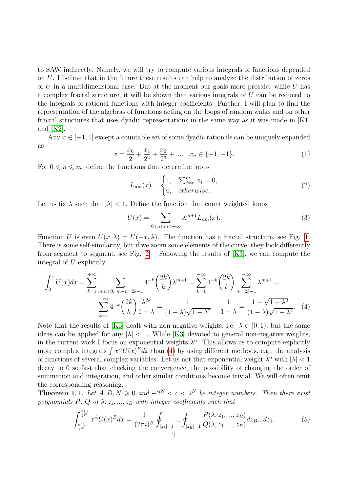to SAW indirectly. Namely, we will try to compute various integrals of functions depended on U. I believe that in the future these results can help to analyze the distribution of zeros of U in a multidimensional case. But at the moment our goals more prosaic: while U has a complex fractal structure, it will be shown that various integrals of U can be reduced to the integrals of rational functions with integer coefficients. Further, I will plan to find the representation of the algebras of functions acting on the loops of random walks and on other fractal structures that uses dyadic representations in the same way as it was made in [\[K1\]](#page-25-4) and  $|K2|$ .

<span id="page-1-3"></span>Any  $x \in [-1, 1]$  except a countable set of some dyadic rationals can be uniquely expanded as

$$
x = \frac{x_0}{2} + \frac{x_1}{2^2} + \frac{x_2}{2^3} + \dots, \quad x_n \in \{-1, +1\}.
$$
 (1)

For  $0 \le n \le m$ , define the functions that determine loops

<span id="page-1-5"></span><span id="page-1-4"></span>
$$
L_{nm}(x) = \begin{cases} 1, & \sum_{j=n}^{m} x_j = 0, \\ 0, & \text{otherwise.} \end{cases} \tag{2}
$$

Let us fix  $\lambda$  such that  $|\lambda| < 1$ . Define the function that count weighted loops

<span id="page-1-0"></span>
$$
U(x) = \sum_{0 \le n \le m < +\infty} \lambda^{m+1} L_{nm}(x). \tag{3}
$$

Function U is even  $U(x, \lambda) = U(-x, \lambda)$ . The function has a fractal structure, see Fig. [1.](#page-2-0) There is some self-similarity, but if we zoom some elements of the curve, they look differently from segment to segment, see Fig. [2.](#page-2-1) Following the results of [\[K3\]](#page-25-6), we can compute the integral of U explicitly

$$
\int_0^1 U(x)dx = \sum_{k=1}^{+\infty} \sum_{\substack{m,n \geqslant 0, \ m-n=2k-1}} 4^{-k} \binom{2k}{k} \lambda^{m+1} = \sum_{k=1}^{+\infty} 4^{-k} \binom{2k}{k} \sum_{m=2k-1}^{+\infty} \lambda^{m+1} = \sum_{k=1}^{+\infty} 4^{-k} \binom{2k}{k} \frac{\lambda^{2k}}{1-\lambda} = \frac{1}{(1-\lambda)\sqrt{1-\lambda^2}} - \frac{1}{1-\lambda} = \frac{1-\sqrt{1-\lambda^2}}{(1-\lambda)\sqrt{1-\lambda^2}}. \tag{4}
$$

Note that the results of [\[K3\]](#page-25-6) dealt with non-negative weights, i.e.  $\lambda \in [0,1)$ , but the same ideas can be applied for any  $|\lambda| < 1$ . While [\[K3\]](#page-25-6) devoted to general non-negative weights, in the current work I focus on exponential weights  $\lambda^n$ . This allows us to compute explicitly more complex integrals  $\int x^A U(x)^B dx$  than [\(4\)](#page-1-0) by using different methods, e.g., the analysis of functions of several complex variables. Let us not that exponential weight  $\lambda^n$  with  $|\lambda|$  < 1 decay to 0 so fast that checking the convergence, the possibility of changing the order of summation and integration, and other similar conditions become trivial. We will often omit the corresponding reasoning.

**Theorem 1.1.** Let  $A, B, N \geq 0$  and  $-2^N < c < 2^N$  be integer numbers. Then there exist polynomials P, Q of  $\lambda$ ,  $z_1$ , ...,  $z_B$  with integer coefficients such that

<span id="page-1-2"></span><span id="page-1-1"></span>
$$
\int_{\frac{c-1}{2^N}}^{\frac{c+1}{2^N}} x^A U(x)^B dx = \frac{1}{(2\pi i)^B} \oint_{|z_1|=1} \dots \oint_{|z_B|=1} \frac{P(\lambda, z_1, ..., z_B)}{Q(\lambda, z_1, ..., z_B)} dz_B... dz_1.
$$
 (5)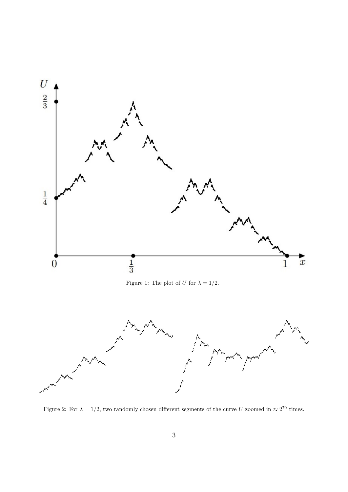<span id="page-2-0"></span>

<span id="page-2-1"></span>Figure 2: For  $\lambda = 1/2$ , two randomly chosen different segments of the curve U zoomed in  $\approx 2^{70}$  times.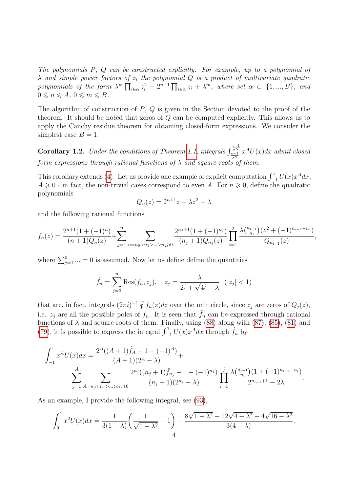The polynomials P, Q can be constructed explicitly. For example, up to a polynomial of  $\lambda$  and simple power factors of  $z_i$  the polynomial  $Q$  is a product of multivariate quadratic polynomials of the form  $\lambda^m \prod_{i \in \alpha} z_i^2 - 2^{n+1} \prod_{i \in \alpha} z_i + \lambda^m$ , where set  $\alpha \subset \{1, ..., B\}$ , and  $0 \leqslant n \leqslant A, 0 \leqslant m \leqslant B.$ 

The algorithm of construction of  $P$ ,  $Q$  is given in the Section devoted to the proof of the theorem. It should be noted that zeros of Q can be computed explicitly. This allows us to apply the Cauchy residue theorem for obtaining closed-form expressions. We consider the simplest case  $B = 1$ .

<span id="page-3-0"></span>**Corollary 1.2.** Under the conditions of Theorem [1.1,](#page-1-1) integrals  $\int_{\frac{c-1}{2^N}}^{\frac{c+1}{2^N}}$  $x^AU(x)dx$  admit closed form expressions through rational functions of  $\lambda$  and square roots of them.

This corollary extends [\(4\)](#page-1-0). Let us provide one example of explicit computation  $\int_{-1}^{1} U(x) x^A dx$ ,  $A \geq 0$  - in fact, the non-trivial cases correspond to even A. For  $n \geq 0$ , define the quadratic polynomials

$$
Q_n(z) = 2^{n+1}z - \lambda z^2 - \lambda
$$

and the following rational functions

$$
f_n(z) = \frac{2^{n+1}(1+(-1)^n)}{(n+1)Q_n(z)} + \sum_{j=1}^n \sum_{n=n_0>n_1>\ldots>n_j\geqslant 0} \frac{2^{n_j+1}(1+(-1)^{n_j})}{(n_j+1)Q_{n_j}(z)} \prod_{i=1}^j \frac{\lambda {n_{i-1} \choose n_i}(z^2+(-1)^{n_{i-1}-n_i})}{Q_{n_{i-1}}(z)},
$$

where  $\sum_{j=1}^{0}$  ... = 0 is assumed. Now let us define define the quantities

$$
\hat{f}_n = \sum_{j=0}^n \text{Res}(f_n, z_j), \quad z_j = \frac{\lambda}{2^j + \sqrt{4^j - \lambda}} \quad (|z_j| < 1)
$$

that are, in fact, integrals  $(2\pi i)^{-1} \oint f_n(z)dz$  over the unit circle, since  $z_j$  are zeros of  $Q_j(z)$ , i.e.  $z_j$  are all the possible poles of  $f_n$ . It is seen that  $\hat{f}_n$  can be expressed through rational functions of  $\lambda$  and square roots of them. Finally, using [\(88\)](#page-18-0) along with [\(87\)](#page-18-1), [\(85\)](#page-18-2), [\(81\)](#page-17-0) and [\(79\)](#page-17-1), it is possible to express the integral  $\int_{-1}^{1} U(x) x^A dx$  through  $\hat{f}_n$  by

$$
\int_{-1}^{1} x^{A} U(x) dx = \frac{2^{A} ((A+1)\hat{f}_{A} - 1 - (-1)^{A})}{(A+1)(2^{A} - \lambda)} + \sum_{j=1}^{A} \sum_{A=n_{0} > n_{1} > ... > n_{j} \geq 0} \frac{2^{n_{j}} ((n_{j} + 1)\hat{f}_{n_{j}} - 1 - (-1)^{n_{j}})}{(n_{j} + 1)(2^{n_{j}} - \lambda)} \prod_{i=1}^{j} \frac{\lambda {n_{i-1} \choose n_{i}} (1 + (-1)^{n_{i-1} - n_{i}})}{2^{n_{i-1} + 1} - 2\lambda}.
$$

As an example, I provide the following integral, see [\(93\)](#page-19-0),

$$
\int_0^1 x^2 U(x) dx = \frac{1}{3(1-\lambda)} \left( \frac{1}{\sqrt{1-\lambda^2}} - 1 \right) + \frac{8\sqrt{1-\lambda^2} - 12\sqrt{4-\lambda^2} + 4\sqrt{16-\lambda^2}}{3(4-\lambda)}.
$$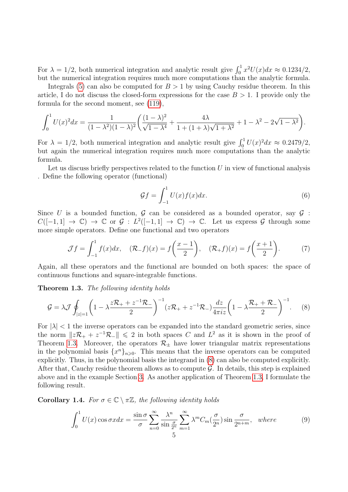For  $\lambda = 1/2$ , both numerical integration and analytic result give  $\int_0^1 x^2 U(x) dx \approx 0.1234/2$ , but the numerical integration requires much more computations than the analytic formula.

Integrals [\(5\)](#page-1-2) can also be computed for  $B > 1$  by using Cauchy residue theorem. In this article, I do not discuss the closed-form expressions for the case  $B > 1$ . I provide only the formula for the second moment, see [\(119\)](#page-24-0),

$$
\int_0^1 U(x)^2 dx = \frac{1}{(1 - \lambda^2)(1 - \lambda)^2} \left( \frac{(1 - \lambda)^2}{\sqrt{1 - \lambda^4}} + \frac{4\lambda}{1 + (1 + \lambda)\sqrt{1 + \lambda^2}} + 1 - \lambda^2 - 2\sqrt{1 - \lambda^2} \right).
$$

For  $\lambda = 1/2$ , both numerical integration and analytic result give  $\int_0^1 U(x)^2 dx \approx 0.2479/2$ , but again the numerical integration requires much more computations than the analytic formula.

Let us discuss briefly perspectives related to the function  $U$  in view of functional analysis . Define the following operator (functional)

<span id="page-4-5"></span><span id="page-4-4"></span><span id="page-4-1"></span><span id="page-4-0"></span>
$$
\mathcal{G}f = \int_{-1}^{1} U(x)f(x)dx.
$$
 (6)

Since U is a bounded function,  $\mathcal G$  can be considered as a bounded operator, say  $\mathcal G$ :  $C([-1,1] \to \mathbb{C}) \to \mathbb{C}$  or  $\mathcal{G}: L^2([-1,1] \to \mathbb{C}) \to \mathbb{C}$ . Let us express  $\mathcal{G}$  through some more simple operators. Define one functional and two operators

$$
\mathcal{J}f = \int_{-1}^{1} f(x)dx, \quad (\mathcal{R}_-f)(x) = f\left(\frac{x-1}{2}\right), \quad (\mathcal{R}_+f)(x) = f\left(\frac{x+1}{2}\right). \tag{7}
$$

Again, all these operators and the functional are bounded on both spaces: the space of continuous functions and square-integrable functions.

Theorem 1.3. The following identity holds

$$
\mathcal{G} = \lambda \mathcal{J} \oint_{|z|=1} \left( 1 - \lambda \frac{z \mathcal{R}_+ + z^{-1} \mathcal{R}_-}{2} \right)^{-1} (z \mathcal{R}_+ + z^{-1} \mathcal{R}_-) \frac{dz}{4\pi i z} \left( 1 - \lambda \frac{\mathcal{R}_+ + \mathcal{R}_-}{2} \right)^{-1} . \tag{8}
$$

For  $|\lambda|$  < 1 the inverse operators can be expanded into the standard geometric series, since the norm  $||z\mathcal{R}_+ + z^{-1}\mathcal{R}_-|| \le 2$  in both spaces C and  $L^2$  as it is shown in the proof of Theorem [1.3.](#page-4-0) Moreover, the operators  $\mathcal{R}_+$  have lower triangular matrix representations in the polynomial basis  $\{x^n\}_{n\geqslant 0}$ . This means that the inverse operators can be computed explicitly. Thus, in the polynomial basis the integrand in [\(8\)](#page-4-1) can also be computed explicitly. After that, Cauchy residue theorem allows as to compute  $\mathcal G$ . In details, this step is explained above and in the example Section [3.](#page-13-0) As another application of Theorem [1.3,](#page-4-0) I formulate the following result.

<span id="page-4-3"></span>Corollary 1.4. For  $\sigma \in \mathbb{C} \setminus \pi \mathbb{Z}$ , the following identity holds

<span id="page-4-2"></span>
$$
\int_0^1 U(x) \cos \sigma x dx = \frac{\sin \sigma}{\sigma} \sum_{n=0}^\infty \frac{\lambda^n}{\sin \frac{\sigma}{2^n}} \sum_{m=1}^\infty \lambda^m C_m(\frac{\sigma}{2^n}) \sin \frac{\sigma}{2^{n+m}}, \text{ where } (9)
$$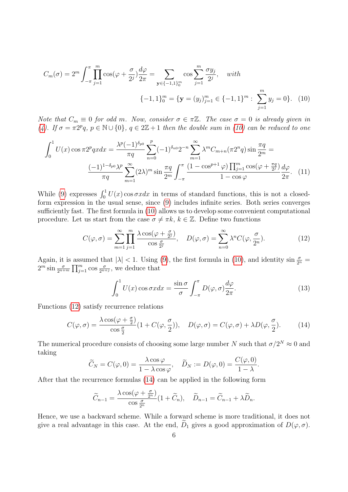<span id="page-5-0"></span>
$$
C_m(\sigma) = 2^m \int_{-\pi}^{\pi} \prod_{j=1}^m \cos(\varphi + \frac{\sigma}{2^j}) \frac{d\varphi}{2\pi} = \sum_{\mathbf{y} \in \{-1, 1\}_0^m} \cos \sum_{j=1}^m \frac{\sigma y_j}{2^j}, \quad with
$$

$$
\{-1, 1\}_0^m = \{\mathbf{y} = (y_j)_{j=1}^m \in \{-1, 1\}^m : \sum_{j=1}^m y_j = 0\}. \quad (10)
$$

Note that  $C_m \equiv 0$  for odd m. Now, consider  $\sigma \in \pi \mathbb{Z}$ . The case  $\sigma = 0$  is already given in [\(4\)](#page-1-0). If  $\sigma = \pi 2^p q$ ,  $p \in \mathbb{N} \cup \{0\}$ ,  $q \in 2\mathbb{Z}+1$  then the double sum in [\(10\)](#page-5-0) can be reduced to one

$$
\int_{0}^{1} U(x) \cos \pi 2^{p} q x dx = \frac{\lambda^{p} (-1)^{\delta_{p0}}}{\pi q} \sum_{n=0}^{p} (-1)^{\delta_{n0}} 2^{-n} \sum_{m=1}^{\infty} \lambda^{m} C_{m+n} (\pi 2^{n} q) \sin \frac{\pi q}{2^{m}} =
$$

$$
\frac{(-1)^{1-\delta_{p0}} \lambda^{p}}{\pi q} \sum_{m=1}^{\infty} (2\lambda)^{m} \sin \frac{\pi q}{2^{m}} \int_{-\pi}^{\pi} \frac{(1 - \cos^{p+1} \varphi) \prod_{j=1}^{m} \cos(\varphi + \frac{\pi q}{2^{j}})}{1 - \cos \varphi} d\varphi.
$$
(11)

While [\(9\)](#page-4-2) expresses  $\int_0^1 U(x) \cos \sigma x dx$  in terms of standard functions, this is not a closedform expression in the usual sense, since [\(9\)](#page-4-2) includes infinite series. Both series converges sufficiently fast. The first formula in [\(10\)](#page-5-0) allows us to develop some convenient computational procedure. Let us start from the case  $\sigma \neq \pi k, k \in \mathbb{Z}$ . Define two functions

$$
C(\varphi, \sigma) = \sum_{m=1}^{\infty} \prod_{j=1}^{m} \frac{\lambda \cos(\varphi + \frac{\sigma}{2^j})}{\cos \frac{\sigma}{2^j}}, \quad D(\varphi, \sigma) = \sum_{n=0}^{\infty} \lambda^n C(\varphi, \frac{\sigma}{2^n}).
$$
 (12)

Again, it is assumed that  $|\lambda| < 1$ . Using [\(9\)](#page-4-2), the first formula in [\(10\)](#page-5-0), and identity  $\sin \frac{\sigma}{2^n} =$  $2^m \sin \frac{\sigma}{2^{n+m}} \prod_{j=1}^m \cos \frac{\sigma}{2^{n+j}}$ , we deduce that

<span id="page-5-4"></span><span id="page-5-3"></span><span id="page-5-2"></span><span id="page-5-1"></span>
$$
\int_0^1 U(x) \cos \sigma x dx = \frac{\sin \sigma}{\sigma} \int_{-\pi}^{\pi} D(\varphi, \sigma) \frac{d\varphi}{2\pi}.
$$
 (13)

Functions [\(12\)](#page-5-1) satisfy recurrence relations

$$
C(\varphi,\sigma) = \frac{\lambda \cos(\varphi + \frac{\sigma}{2})}{\cos\frac{\sigma}{2}} (1 + C(\varphi,\frac{\sigma}{2})), \quad D(\varphi,\sigma) = C(\varphi,\sigma) + \lambda D(\varphi,\frac{\sigma}{2}).
$$
 (14)

The numerical procedure consists of choosing some large number N such that  $\sigma/2^N \approx 0$  and taking

$$
\widetilde{C}_N=C(\varphi,0)=\frac{\lambda\cos\varphi}{1-\lambda\cos\varphi},\quad \widetilde{D}_N:=D(\varphi,0)=\frac{C(\varphi,0)}{1-\lambda}.
$$

After that the recurrence formulas [\(14\)](#page-5-2) can be applied in the following form

$$
\widetilde{C}_{n-1} = \frac{\lambda \cos(\varphi + \frac{\sigma}{2^n})}{\cos \frac{\sigma}{2^n}} (1 + \widetilde{C}_n), \quad \widetilde{D}_{n-1} = \widetilde{C}_{n-1} + \lambda \widetilde{D}_n.
$$

Hence, we use a backward scheme. While a forward scheme is more traditional, it does not give a real advantage in this case. At the end,  $D_1$  gives a good approximation of  $D(\varphi, \sigma)$ .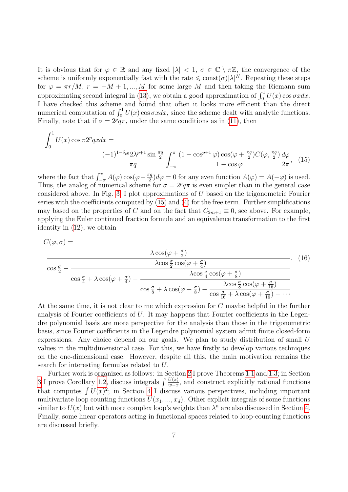It is obvious that for  $\varphi \in \mathbb{R}$  and any fixed  $|\lambda| < 1$ ,  $\sigma \in \mathbb{C} \setminus \pi \mathbb{Z}$ , the convergence of the scheme is uniformly exponentially fast with the rate  $\leq \text{const}(\sigma)|\lambda|^N$ . Repeating these steps for  $\varphi = \pi r/M$ ,  $r = -M + 1, ..., M$  for some large M and then taking the Riemann sum approximating second integral in [\(13\)](#page-5-3), we obtain a good approximation of  $\int_0^1 U(x) \cos \sigma x dx$ . I have checked this scheme and found that often it looks more efficient than the direct numerical computation of  $\int_0^1 U(x) \cos \sigma x dx$ , since the scheme dealt with analytic functions. Finally, note that if  $\sigma = 2^p q \pi$ , under the same conditions as in [\(11\)](#page-5-4), then

<span id="page-6-0"></span>
$$
\int_0^1 U(x) \cos \pi 2^p q x dx =
$$
\n
$$
\frac{(-1)^{1-\delta_{p_0}} 2\lambda^{p+1} \sin \frac{\pi q}{2}}{\pi q} \int_{-\pi}^{\pi} \frac{(1 - \cos^{p+1}\varphi) \cos(\varphi + \frac{\pi q}{2}) C(\varphi, \frac{\pi q}{2}) d\varphi}{1 - \cos \varphi} \frac{d\varphi}{2\pi}, \quad (15)
$$

where the fact that  $\int_{-\pi}^{\pi} A(\varphi) \cos(\varphi + \frac{\pi q}{2})$  $\frac{\pi q}{2}$ ) $d\varphi = 0$  for any even function  $A(\varphi) = A(-\varphi)$  is used. Thus, the analog of numerical scheme for  $\sigma = 2^p q \pi$  is even simpler than in the general case considered above. In Fig. [3,](#page-7-0) I plot approximations of U based on the trigonometric Fourier series with the coefficients computed by [\(15\)](#page-6-0) and [\(4\)](#page-1-0) for the free term. Further simplifications may based on the properties of C and on the fact that  $C_{2m+1} \equiv 0$ , see above. For example, applying the Euler continued fraction formula and an equivalence transformation to the first identity in [\(12\)](#page-5-1), we obtain

$$
C(\varphi, \sigma) = \frac{\lambda \cos(\varphi + \frac{\sigma}{2})}{\cos\frac{\sigma}{2} - \frac{\lambda \cos(\varphi + \frac{\sigma}{4})}{\cos\frac{\sigma}{4} + \lambda \cos(\varphi + \frac{\sigma}{4}) - \frac{\lambda \cos\frac{\sigma}{4}\cos(\varphi + \frac{\sigma}{8})}{\cos\frac{\sigma}{8} + \lambda \cos(\varphi + \frac{\sigma}{8}) - \frac{\lambda \cos\frac{\sigma}{8}\cos(\varphi + \frac{\sigma}{16})}{\cos\frac{\sigma}{16} + \lambda \cos(\varphi + \frac{\sigma}{16}) - \cdots}}}
$$
(16)

At the same time, it is not clear to me which expression for C maybe helpful in the further analysis of Fourier coefficients of U. It may happens that Fourier coefficients in the Legendre polynomial basis are more perspective for the analysis than those in the trigonometric basis, since Fourier coefficients in the Legendre polynomial system admit finite closed-form expressions. Any choice depend on our goals. We plan to study distribution of small U values in the multidimensional case. For this, we have firstly to develop various techniques on the one-dimensional case. However, despite all this, the main motivation remains the search for interesting formulas related to U.

Further work is organized as follows: in Section [2](#page-7-1) I prove Theorems [1.1](#page-1-1) and [1.3;](#page-4-0) in Section [3](#page-13-0) I prove Corollary [1.2,](#page-3-0) discuss integrals  $\int \frac{U(x)}{w-x}$ , and construct explicitly rational functions that computes  $\int U(x)^2$ ; in Section [4](#page-24-1) I discuss various perspectives, including important multivariate loop counting functions  $U(x_1, ..., x_d)$ . Other explicit integrals of some functions similar to  $U(x)$  but with more complex loop's weights than  $\lambda^n$  are also discussed in Section [4.](#page-24-1) Finally, some linear operators acting in functional spaces related to loop-counting functions are discussed briefly.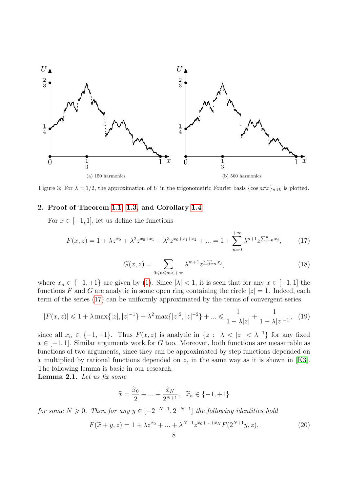<span id="page-7-0"></span>

Figure 3: For  $\lambda = 1/2$ , the approximation of U in the trigonometric Fourier basis  $\{\cos n\pi x\}_{n\geq 0}$  is plotted.

# <span id="page-7-1"></span>2. Proof of Theorem [1.1,](#page-1-1) [1.3,](#page-4-0) and Corollary [1.4](#page-4-3)

For  $x \in [-1, 1]$ , let us define the functions

$$
F(x,z) = 1 + \lambda z^{x_0} + \lambda^2 z^{x_0 + x_1} + \lambda^3 z^{x_0 + x_1 + x_2} + \dots = 1 + \sum_{n=0}^{+\infty} \lambda^{n+1} z^{\sum_{j=0}^{n} x_j},
$$
 (17)

<span id="page-7-2"></span>
$$
G(x,z) = \sum_{0 \le n \le m < +\infty} \lambda^{m+1} z^{\sum_{j=n}^m x_j},\tag{18}
$$

<span id="page-7-3"></span>where  $x_n \in \{-1, +1\}$  are given by [\(1\)](#page-1-3). Since  $|\lambda| < 1$ , it is seen that for any  $x \in [-1, 1]$  the functions F and G are analytic in some open ring containing the circle  $|z|=1$ . Indeed, each term of the series [\(17\)](#page-7-2) can be uniformly approximated by the terms of convergent series

$$
|F(x,z)| \leq 1 + \lambda \max\{|z|, |z|^{-1}\} + \lambda^2 \max\{|z|^2, |z|^{-2}\} + \dots \leq \frac{1}{1 - \lambda |z|} + \frac{1}{1 - \lambda |z|^{-1}}, \tag{19}
$$

since all  $x_n \in \{-1, +1\}$ . Thus  $F(x, z)$  is analytic in  $\{z : \lambda < |z| < \lambda^{-1}\}$  for any fixed  $x \in [-1, 1]$ . Similar arguments work for G too. Moreover, both functions are measurable as functions of two arguments, since they can be approximated by step functions depended on x multiplied by rational functions depended on z, in the same way as it is shown in [\[K3\]](#page-25-6). The following lemma is basic in our research.

Lemma 2.1. Let us fix some

<span id="page-7-5"></span><span id="page-7-4"></span>
$$
\widetilde{x} = \frac{\widetilde{x}_0}{2} + \dots + \frac{\widetilde{x}_N}{2^{N+1}}, \quad \widetilde{x}_n \in \{-1, +1\}
$$

for some  $N \geqslant 0$ . Then for any  $y \in [-2^{-N-1}, 2^{-N-1}]$  the following identities hold

$$
F(\tilde{x} + y, z) = 1 + \lambda z^{\tilde{x}_0} + \dots + \lambda^{N+1} z^{\tilde{x}_0 + \dots + \tilde{x}_N} F(2^{N+1} y, z),
$$
\n(20)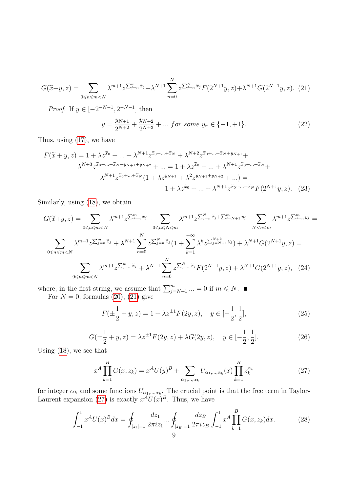<span id="page-8-0"></span>
$$
G(\tilde{x}+y,z) = \sum_{0 \le n \le m < N} \lambda^{m+1} z^{\sum_{j=n}^m \tilde{x}_j} + \lambda^{N+1} \sum_{n=0}^N z^{\sum_{j=n}^N \tilde{x}_j} F(2^{N+1}y,z) + \lambda^{N+1} G(2^{N+1}y,z). \tag{21}
$$

*Proof.* If  $y \in [-2^{-N-1}, 2^{-N-1}]$  then

$$
y = \frac{y_{N+1}}{2^{N+2}} + \frac{y_{N+2}}{2^{N+3}} + \dots \text{ for some } y_n \in \{-1, +1\}. \tag{22}
$$

Thus, using [\(17\)](#page-7-2), we have

$$
F(\tilde{x} + y, z) = 1 + \lambda z^{\tilde{x}_0} + \dots + \lambda^{N+1} z^{\tilde{x}_0 + \dots + \tilde{x}_N} + \lambda^{N+2} z^{\tilde{x}_0 + \dots + \tilde{x}_N + y_{N+1}} +
$$
  

$$
\lambda^{N+3} z^{\tilde{x}_0 + \dots + \tilde{x}_N + y_{N+1} + y_{N+2}} + \dots = 1 + \lambda z^{\tilde{x}_0} + \dots + \lambda^{N+1} z^{\tilde{x}_0 + \dots + \tilde{x}_N} +
$$
  

$$
\lambda^{N+1} z^{\tilde{x}_0 + \dots + \tilde{x}_N} (1 + \lambda z^{y_{N+1}} + \lambda^2 z^{y_{N+1} + y_{N+2}} + \dots) =
$$
  

$$
1 + \lambda z^{\tilde{x}_0} + \dots + \lambda^{N+1} z^{\tilde{x}_0 + \dots + \tilde{x}_N} F(2^{N+1} y, z). \tag{23}
$$

Similarly, using [\(18\)](#page-7-3), we obtain

$$
G(\tilde{x}+y,z) = \sum_{0 \le n \le m < N} \lambda^{m+1} z^{\sum_{j=n}^{m} \tilde{x}_j} + \sum_{0 \le n \le N \le m} \lambda^{m+1} z^{\sum_{j=n}^{N} \tilde{x}_j + \sum_{j=n}^{m} \tilde{x}_j + \sum_{j=N+1}^{m} y_j} + \sum_{N < n \le m} \lambda^{m+1} z^{\sum_{j=n}^{m} y_j} =
$$
\n
$$
\sum_{0 \le n \le m < N} \lambda^{m+1} z^{\sum_{j=n}^{m} \tilde{x}_j} + \lambda^{N+1} \sum_{n=0}^{N} z^{\sum_{j=n}^{N} \tilde{x}_j} (1 + \sum_{k=1}^{+\infty} \lambda^k z^{\sum_{j=N+1}^{N+1} y_j}) + \lambda^{N+1} G(2^{N+1} y, z) =
$$
\n
$$
\sum_{0 \le n \le m < N} \lambda^{m+1} z^{\sum_{j=n}^{m} \tilde{x}_j} + \lambda^{N+1} \sum_{n=0}^{N} z^{\sum_{j=n}^{N} \tilde{x}_j} F(2^{N+1} y, z) + \lambda^{N+1} G(2^{N+1} y, z), \quad (24)
$$

where, in the first string, we assume that  $\sum_{j=N+1}^{m} ... = 0$  if  $m \leq N$ . For  $N = 0$ , formulas  $(20)$ ,  $(21)$  give

<span id="page-8-2"></span>
$$
F(\pm \frac{1}{2} + y, z) = 1 + \lambda z^{\pm 1} F(2y, z), \quad y \in [-\frac{1}{2}, \frac{1}{2}],
$$
 (25)

$$
G(\pm \frac{1}{2} + y, z) = \lambda z^{\pm 1} F(2y, z) + \lambda G(2y, z), \quad y \in [-\frac{1}{2}, \frac{1}{2}].
$$
 (26)

<span id="page-8-3"></span>Using [\(18\)](#page-7-3), we see that

<span id="page-8-4"></span><span id="page-8-1"></span>
$$
x^{A} \prod_{k=1}^{B} G(x, z_{k}) = x^{A} U(y)^{B} + \sum_{\alpha_{1}, \dots, \alpha_{k}} U_{\alpha_{1}, \dots, \alpha_{k}}(x) \prod_{k=1}^{B} z_{k}^{\alpha_{k}}
$$
(27)

for integer  $\alpha_k$  and some functions  $U_{\alpha_1,\dots,\alpha_k}$ . The crucial point is that the free term in Taylor-Laurent expansion [\(27\)](#page-8-1) is exactly  $x^A U(x)^B$ . Thus, we have

$$
\int_{-1}^{1} x^A U(x)^B dx = \oint_{|z_1|=1} \frac{dz_1}{2\pi i z_1} \cdots \oint_{|z_B|=1} \frac{dz_B}{2\pi i z_B} \int_{-1}^{1} x^A \prod_{k=1}^B G(x, z_k) dx.
$$
 (28)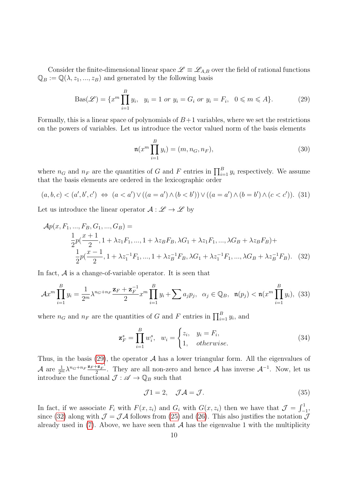Consider the finite-dimensional linear space  $\mathscr{L} \equiv \mathscr{L}_{A,B}$  over the field of rational functions  $\mathbb{Q}_B := \mathbb{Q}(\lambda, z_1, ..., z_B)$  and generated by the following basis

$$
Bas(\mathcal{L}) = \{ x^m \prod_{i=1}^B y_i, \ y_i = 1 \text{ or } y_i = G_i \text{ or } y_i = F_i, \ 0 \leq m \leq A \}. \tag{29}
$$

Formally, this is a linear space of polynomials of  $B+1$  variables, where we set the restrictions on the powers of variables. Let us introduce the vector valued norm of the basis elements

<span id="page-9-0"></span>
$$
\mathfrak{n}(x^m \prod_{i=1}^B y_i) = (m, n_G, n_F),
$$
\n(30)

where  $n_G$  and  $n_F$  are the quantities of G and F entries in  $\prod_{i=1}^B y_i$  respectively. We assume that the basis elements are ordered in the lexicographic order

$$
(a, b, c) < (a', b', c') \Leftrightarrow (a < a') \lor ((a = a') \land (b < b')) \lor ((a = a') \land (b = b') \land (c < c')). \tag{31}
$$

Let us introduce the linear operator  $\mathcal{A}: \mathscr{L} \to \mathscr{L}$  by

$$
\mathcal{A}p(x, F_1, ..., F_B, G_1, ..., G_B) =
$$
\n
$$
\frac{1}{2}p(\frac{x+1}{2}, 1 + \lambda z_1 F_1, ..., 1 + \lambda z_B F_B, \lambda G_1 + \lambda z_1 F_1, ..., \lambda G_B + \lambda z_B F_B) +
$$
\n
$$
\frac{1}{2}p(\frac{x-1}{2}, 1 + \lambda z_1^{-1} F_1, ..., 1 + \lambda z_B^{-1} F_B, \lambda G_1 + \lambda z_1^{-1} F_1, ..., \lambda G_B + \lambda z_B^{-1} F_B). \quad (32)
$$

In fact,  $A$  is a change-of-variable operator. It is seen that

$$
\mathcal{A}x^{m}\prod_{i=1}^{B}y_{i} = \frac{1}{2^{m}}\lambda^{n_{G}+n_{F}}\frac{\mathbf{z}_{F}+\mathbf{z}_{F}^{-1}}{2}x^{m}\prod_{i=1}^{B}y_{i} + \sum a_{j}p_{j}, \quad \alpha_{j}\in\mathbb{Q}_{B}, \quad \mathfrak{n}(p_{j}) < \mathfrak{n}(x^{m}\prod_{i=1}^{B}y_{i}), \tag{33}
$$

where  $n_G$  and  $n_F$  are the quantities of G and F entries in  $\prod_{i=1}^B y_i$ , and

<span id="page-9-2"></span><span id="page-9-1"></span>
$$
\mathbf{z}_F^s = \prod_{i=1}^B w_i^s, \quad w_i = \begin{cases} z_i, & y_i = F_i, \\ 1, & \text{otherwise.} \end{cases} \tag{34}
$$

Thus, in the basis  $(29)$ , the operator A has a lower triangular form. All the eigenvalues of  $\mathcal A$  are  $\frac{1}{2^m} \lambda^{n_G+n_F} \frac{\mathbf{z}_F + \mathbf{z}_F^{-1}}{2}$ . They are all non-zero and hence  $\mathcal A$  has inverse  $\mathcal A^{-1}$ . Now, let us introduce the functional  $\mathcal{J} : \mathscr{A} \to \mathbb{Q}_B$  such that

<span id="page-9-3"></span>
$$
\mathcal{J}1 = 2, \quad \mathcal{J}\mathcal{A} = \mathcal{J}.\tag{35}
$$

In fact, if we associate  $F_i$  with  $F(x, z_i)$  and  $G_i$  with  $G(x, z_i)$  then we have that  $\mathcal{J} = \int_{-1}^{1}$ , since [\(32\)](#page-9-1) along with  $\mathcal{J} = \mathcal{J}\mathcal{A}$  follows from [\(25\)](#page-8-2) and [\(26\)](#page-8-3). This also justifies the notation  $\mathcal{J}$ already used in  $(7)$ . Above, we have seen that A has the eigenvalue 1 with the multiplicity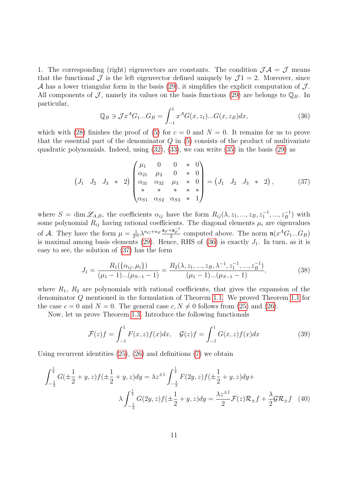1. The corresponding (right) eigenvectors are constants. The condition  $\mathcal{J}A = \mathcal{J}$  means that the functional  $\mathcal J$  is the left eigenvector defined uniquely by  $\mathcal J_1 = 2$ . Moreover, since A has a lower triangular form in the basis [\(29\)](#page-9-0), it simplifies the explicit computation of  $J$ . All components of J, namely its values on the basis functions [\(29\)](#page-9-0) are belongs to  $\mathbb{Q}_B$ . In particular,

<span id="page-10-1"></span><span id="page-10-0"></span>
$$
\mathbb{Q}_B \ni \mathcal{J}x^A G_1...G_B = \int_{-1}^1 x^A G(x, z_1)...G(x, z_B) dx, \tag{36}
$$

which with [\(28\)](#page-8-4) finishes the proof of [\(5\)](#page-1-2) for  $c = 0$  and  $N = 0$ . It remains for us to prove that the essential part of the denominator  $Q$  in [\(5\)](#page-1-2) consists of the product of multivariate quadratic polynomials. Indeed, using [\(32\)](#page-9-1), [\(33\)](#page-9-2), we can write [\(35\)](#page-9-3) in the basis [\(29\)](#page-9-0) as

$$
\begin{pmatrix} J_1 & J_2 & J_3 & * & 2 \end{pmatrix} \begin{pmatrix} \mu_1 & 0 & 0 & * & 0 \\ \alpha_{21} & \mu_2 & 0 & * & 0 \\ \alpha_{31} & \alpha_{32} & \mu_3 & * & 0 \\ * & * & * & * & * \\ \alpha_{S1} & \alpha_{S2} & \alpha_{S3} & * & 1 \end{pmatrix} = \begin{pmatrix} J_1 & J_2 & J_3 & * & 2 \end{pmatrix}, \quad (37)
$$

where  $S = \dim \mathscr{L}_{A,B}$ , the coefficients  $\alpha_{ij}$  have the form  $R_{ij}(\lambda, z_1, ..., z_B, z_1^{-1}, ..., z_B^{-1})$  with some polynomial  $R_{ij}$  having rational coefficients. The diagonal elements  $\mu_i$  are eigenvalues of A. They have the form  $\mu = \frac{1}{2^m} \lambda^{n_G + n_F} \frac{\mathbf{z}_F + \mathbf{z}_F^{-1}}{2}$  computed above. The norm  $\mathfrak{n}(x^A G_1...G_B)$ is maximal among basis elements [\(29\)](#page-9-0). Hence, RHS of [\(36\)](#page-10-0) is exactly  $J_1$ . In turn, as it is easy to see, the solution of [\(37\)](#page-10-1) has the form

$$
J_1 = \frac{R_1(\{\alpha_{ij}, \mu_i\})}{(\mu_1 - 1)...(\mu_{S-1} - 1)} = \frac{R_2(\lambda, z_1, ..., z_B, \lambda^{-1}, z_1^{-1}, ..., z_B^{-1})}{(\mu_1 - 1)...(\mu_{S-1} - 1)},
$$
(38)

where  $R_1$ ,  $R_2$  are polynomials with rational coefficients, that gives the expansion of the denominator Q mentioned in the formulation of Theorem [1.1.](#page-1-1) We proved Theorem [1.1](#page-1-1) for the case  $c = 0$  and  $N = 0$ . The general case  $c, N \neq 0$  follows from [\(25\)](#page-8-2) and [\(26\)](#page-8-3).

Now, let us prove Theorem [1.3.](#page-4-0) Introduce the following functionals

$$
\mathcal{F}(z)f = \int_{-1}^{1} F(x,z)f(x)dx, \quad \mathcal{G}(z)f = \int_{-1}^{1} G(x,z)f(x)dx \tag{39}
$$

Using recurrent identities [\(25\)](#page-8-2), [\(26\)](#page-8-3) and definitions [\(7\)](#page-4-4) we obtain

$$
\int_{-\frac{1}{2}}^{\frac{1}{2}} G(\pm\frac{1}{2} + y, z) f(\pm\frac{1}{2} + y, z) dy = \lambda z^{\pm 1} \int_{-\frac{1}{2}}^{\frac{1}{2}} F(2y, z) f(\pm\frac{1}{2} + y, z) dy +
$$

$$
\lambda \int_{-\frac{1}{2}}^{\frac{1}{2}} G(2y, z) f(\pm\frac{1}{2} + y, z) dy = \frac{\lambda z^{\pm 1}}{2} \mathcal{F}(z) \mathcal{R}_{\pm} f + \frac{\lambda}{2} \mathcal{G} \mathcal{R}_{\pm} f \quad (40)
$$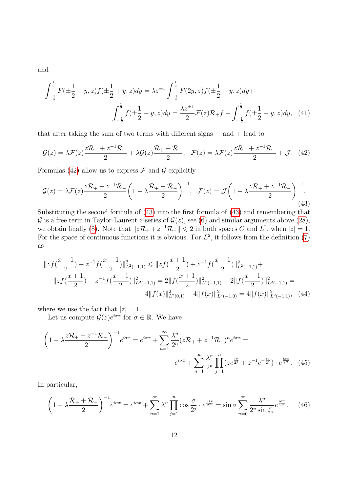and

$$
\int_{-\frac{1}{2}}^{\frac{1}{2}} F(\pm \frac{1}{2} + y, z) f(\pm \frac{1}{2} + y, z) dy = \lambda z^{\pm 1} \int_{-\frac{1}{2}}^{\frac{1}{2}} F(2y, z) f(\pm \frac{1}{2} + y, z) dy +
$$

$$
\int_{-\frac{1}{2}}^{\frac{1}{2}} f(\pm \frac{1}{2} + y, z) dy = \frac{\lambda z^{\pm 1}}{2} \mathcal{F}(z) \mathcal{R}_{\pm} f + \int_{-\frac{1}{2}}^{\frac{1}{2}} f(\pm \frac{1}{2} + y, z) dy, \quad (41)
$$

that after taking the sum of two terms with different signs  $-$  and  $+$  lead to

<span id="page-11-1"></span><span id="page-11-0"></span>
$$
\mathcal{G}(z) = \lambda \mathcal{F}(z) \frac{z\mathcal{R}_+ + z^{-1}\mathcal{R}_-}{2} + \lambda \mathcal{G}(z) \frac{\mathcal{R}_+ + \mathcal{R}_-}{2}, \quad \mathcal{F}(z) = \lambda \mathcal{F}(z) \frac{z\mathcal{R}_+ + z^{-1}\mathcal{R}_-}{2} + \mathcal{J}. \tag{42}
$$

Formulas [\(42\)](#page-11-0) allow us to express  $\mathcal F$  and  $\mathcal G$  explicitly

$$
\mathcal{G}(z) = \lambda \mathcal{F}(z) \frac{z\mathcal{R}_+ + z^{-1}\mathcal{R}_-}{2} \left(1 - \lambda \frac{\mathcal{R}_+ + \mathcal{R}_-}{2}\right)^{-1}, \quad \mathcal{F}(z) = \mathcal{J}\left(1 - \lambda \frac{z\mathcal{R}_+ + z^{-1}\mathcal{R}_-}{2}\right)^{-1}.\tag{43}
$$

Substituting the second formula of [\(43\)](#page-11-1) into the first formula of [\(43\)](#page-11-1) and remembering that  $\mathcal G$  is a free term in Taylor-Laurent *z*-series of  $\mathcal G(z)$ , see [\(6\)](#page-4-5) and similar arguments above [\(28\)](#page-8-4), we obtain finally [\(8\)](#page-4-1). Note that  $||z\mathcal{R}_+ + z^{-1}\mathcal{R}_-|| \leq 2$  in both spaces C and  $L^2$ , when  $|z| = 1$ . For the space of continuous functions it is obvious. For  $L^2$ , it follows from the definition [\(7\)](#page-4-4) as

$$
||zf(\frac{x+1}{2})+z^{-1}f(\frac{x-1}{2})||_{L^{2}(-1,1)}^{2} \le ||zf(\frac{x+1}{2})+z^{-1}f(\frac{x-1}{2})||_{L^{2}(-1,1)}^{2} + ||zf(\frac{x+1}{2})-z^{-1}f(\frac{x-1}{2})||_{L^{2}(-1,1)}^{2} = 2||f(\frac{x+1}{2})||_{L^{2}(-1,1)}^{2} + 2||f(\frac{x-1}{2})||_{L^{2}(-1,1)}^{2} = 4||f(x)||_{L^{2}(0,1)}^{2} + 4||f(x)||_{L^{2}(-1,0)}^{2} = 4||f(x)||_{L^{2}(-1,1)}^{2}, \quad (44)
$$

where we use the fact that  $|z|=1$ .

Let us compute  $\mathcal{G}(z)e^{i\sigma x}$  for  $\sigma \in \mathbb{R}$ . We have

$$
\left(1 - \lambda \frac{z\mathcal{R}_+ + z^{-1}\mathcal{R}_-}{2}\right)^{-1} e^{i\sigma x} = e^{i\sigma x} + \sum_{n=1}^{\infty} \frac{\lambda^n}{2^n} (z\mathcal{R}_+ + z^{-1}\mathcal{R}_-)^n e^{i\sigma x} =
$$

$$
e^{i\sigma x} + \sum_{n=1}^{\infty} \frac{\lambda^n}{2^n} \prod_{j=1}^n (ze^{\frac{i\sigma}{2^j}} + z^{-1}e^{-\frac{i\sigma}{2^j}}) \cdot e^{\frac{i\sigma x}{2^n}}. \tag{45}
$$

In particular,

<span id="page-11-3"></span><span id="page-11-2"></span>
$$
\left(1 - \lambda \frac{\mathcal{R}_{+} + \mathcal{R}_{-}}{2}\right)^{-1} e^{i\sigma x} = e^{i\sigma x} + \sum_{n=1}^{\infty} \lambda^{n} \prod_{j=1}^{n} \cos \frac{\sigma}{2^{j}} \cdot e^{\frac{i\sigma x}{2^{n}}} = \sin \sigma \sum_{n=0}^{\infty} \frac{\lambda^{n}}{2^{n} \sin \frac{\sigma}{2^{n}}} e^{\frac{i\sigma x}{2^{n}}}.
$$
 (46)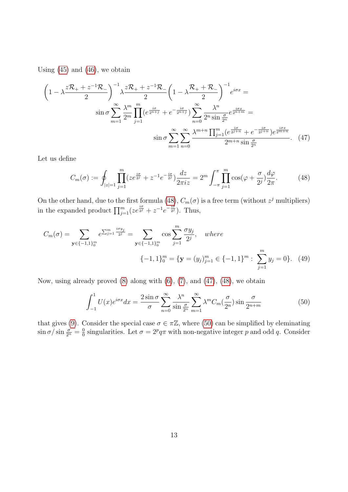Using  $(45)$  and  $(46)$ , we obtain

$$
\left(1 - \lambda \frac{z\mathcal{R}_{+} + z^{-1}\mathcal{R}_{-}}{2}\right)^{-1} \lambda \frac{z\mathcal{R}_{+} + z^{-1}\mathcal{R}_{-}}{2} \left(1 - \lambda \frac{\mathcal{R}_{+} + \mathcal{R}_{-}}{2}\right)^{-1} e^{i\sigma x} =
$$
  

$$
\sin \sigma \sum_{m=1}^{\infty} \frac{\lambda^{m}}{2^{m}} \prod_{j=1}^{m} (e^{\frac{i\sigma}{2^{n+j}}} + e^{-\frac{i\sigma}{2^{n+j}}}) \sum_{n=0}^{\infty} \frac{\lambda^{n}}{2^{n} \sin \frac{\sigma}{2^{n}}} e^{\frac{i\sigma x}{2^{n+m}}} =
$$
  

$$
\sin \sigma \sum_{m=1}^{\infty} \sum_{n=0}^{\infty} \frac{\lambda^{m+n} \prod_{j=1}^{m} (e^{\frac{i\sigma}{2^{j+n}}} + e^{-\frac{i\sigma}{2^{j+n}}}) e^{\frac{i\sigma x}{2^{m+n}}} }{2^{m+n} \sin \frac{\sigma}{2^{n}}}.
$$
 (47)

Let us define

<span id="page-12-1"></span><span id="page-12-0"></span>
$$
C_m(\sigma) := \oint_{|z|=1} \prod_{j=1}^m (ze^{\frac{i\sigma}{2^j}} + z^{-1}e^{-\frac{i\sigma}{2^j}}) \frac{dz}{2\pi iz} = 2^m \int_{-\pi}^{\pi} \prod_{j=1}^m \cos(\varphi + \frac{\sigma}{2^j}) \frac{d\varphi}{2\pi}.
$$
 (48)

On the other hand, due to the first formula [\(48\)](#page-12-0),  $C_m(\sigma)$  is a free term (without  $z<sup>j</sup>$  multipliers) in the expanded product  $\prod_{j=1}^{m} (ze^{\frac{i\sigma}{2^{j}}} + z^{-1}e^{-\frac{i\sigma}{2^{j}}})$ . Thus,

$$
C_m(\sigma) = \sum_{\mathbf{y} \in \{-1, 1\}_0^m} e^{\sum_{j=1}^m \frac{i\sigma y_j}{2^j}} = \sum_{\mathbf{y} \in \{-1, 1\}_0^m} \cos \sum_{j=1}^m \frac{\sigma y_j}{2^j}, \quad where
$$
  

$$
\{-1, 1\}_0^m = \{\mathbf{y} = (y_j)_{j=1}^m \in \{-1, 1\}^m : \sum_{j=1}^m y_j = 0\}. \tag{49}
$$

Now, using already proved  $(8)$  along with  $(6)$ ,  $(7)$ , and  $(47)$ ,  $(48)$ , we obtain

<span id="page-12-2"></span>
$$
\int_{-1}^{1} U(x)e^{i\sigma x} dx = \frac{2\sin\sigma}{\sigma} \sum_{n=0}^{\infty} \frac{\lambda^n}{\sin\frac{\sigma}{2^n}} \sum_{m=1}^{\infty} \lambda^m C_m(\frac{\sigma}{2^n}) \sin\frac{\sigma}{2^{n+m}}
$$
(50)

that gives [\(9\)](#page-4-2). Consider the special case  $\sigma \in \pi \mathbb{Z}$ , where [\(50\)](#page-12-2) can be simplified by eleminating  $\sin \sigma / \sin \frac{\sigma}{2^n} = \frac{0}{0}$  $\frac{0}{0}$  singularities. Let  $\sigma = 2^p q \pi$  with non-negative integer p and odd q. Consider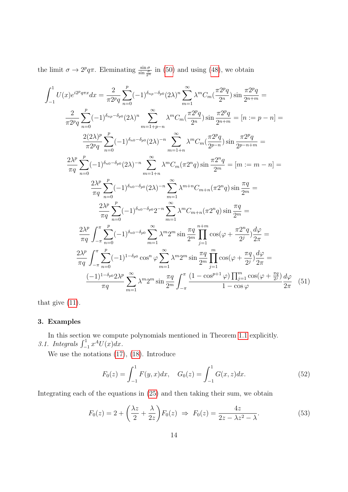the limit  $\sigma \to 2^p q \pi$ . Eleminating  $\frac{\sin \sigma}{\sin \frac{\sigma}{2^n}}$  in [\(50\)](#page-12-2) and using [\(48\)](#page-12-0), we obtain

$$
\int_{-1}^{1} U(x)e^{i2^{p}q\pi x} dx = \frac{2}{\pi 2^{p}q} \sum_{n=0}^{p} (-1)^{\delta_{np} - \delta_{p0}} (2\lambda)^{n} \sum_{m=1}^{\infty} \lambda^{m} C_{m} (\frac{\pi 2^{p}q}{2^{n}}) \sin \frac{\pi 2^{p}q}{2^{n+m}} =
$$
  

$$
\frac{2}{\pi 2^{p}q} \sum_{n=0}^{p} (-1)^{\delta_{np} - \delta_{p0}} (2\lambda)^{n} \sum_{m=1+p-n}^{\infty} \lambda^{m} C_{m} (\frac{\pi 2^{p}q}{2^{n}}) \sin \frac{\pi 2^{p}q}{2^{n+m}} = [n := p - n] =
$$
  

$$
\frac{2(2\lambda)^{p}}{\pi 2^{p}q} \sum_{n=0}^{p} (-1)^{\delta_{n0} - \delta_{p0}} (2\lambda)^{-n} \sum_{m=1+n}^{\infty} \lambda^{m} C_{m} (\frac{\pi 2^{p}q}{2^{p-n}}) \sin \frac{\pi 2^{p}q}{2^{p-n+m}} =
$$
  

$$
\frac{2\lambda^{p}}{\pi q} \sum_{n=0}^{p} (-1)^{\delta_{n0} - \delta_{p0}} (2\lambda)^{-n} \sum_{m=1+n}^{\infty} \lambda^{m} C_{m} (\pi 2^{n}q) \sin \frac{\pi 2^{n}q}{2^{m}} = [m := m - n] =
$$
  

$$
\frac{2\lambda^{p}}{\pi q} \sum_{n=0}^{p} (-1)^{\delta_{n0} - \delta_{p0}} (2\lambda)^{-n} \sum_{m=1}^{\infty} \lambda^{m+n} C_{m+n} (\pi 2^{n}q) \sin \frac{\pi q}{2^{m}} =
$$
  

$$
\frac{2\lambda^{p}}{\pi q} \sum_{n=0}^{p} (-1)^{\delta_{n0} - \delta_{p0}} 2^{-n} \sum_{m=1}^{\infty} \lambda^{m} C_{m+n} (\pi 2^{n}q) \sin \frac{\pi q}{2^{m}} =
$$
  

$$
\frac{2\lambda^{p}}{\pi q} \int_{-\pi}^{\pi} \sum_{n=0}^{p} (-1)^{\delta_{n0} - \delta_{p0}} \sum_{m=1}^{\infty} \lambda^{m}
$$

that give [\(11\)](#page-5-4).

# <span id="page-13-0"></span>3. Examples

In this section we compute polynomials mentioned in Theorem [1.1](#page-1-1) explicitly. 3.1. Integrals  $\int_{-1}^{1} x^A U(x) dx$ .

We use the notations [\(17\)](#page-7-2), [\(18\)](#page-7-3). Introduce

<span id="page-13-1"></span>
$$
F_0(z) = \int_{-1}^1 F(y, x) dx, \quad G_0(z) = \int_{-1}^1 G(x, z) dx.
$$
 (52)

Integrating each of the equations in [\(25\)](#page-8-2) and then taking their sum, we obtain

$$
F_0(z) = 2 + \left(\frac{\lambda z}{2} + \frac{\lambda}{2z}\right) F_0(z) \Rightarrow F_0(z) = \frac{4z}{2z - \lambda z^2 - \lambda}.
$$
 (53)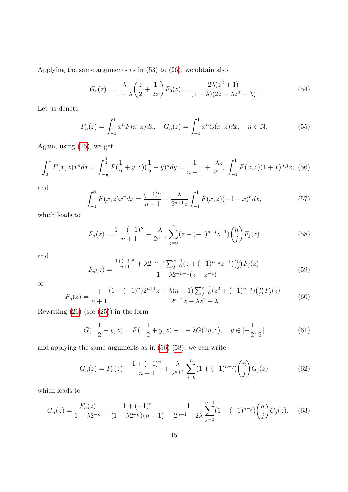Applying the same arguments as in [\(53\)](#page-13-1) to [\(26\)](#page-8-3), we obtain also

$$
G_0(z) = \frac{\lambda}{1 - \lambda} \left( \frac{z}{2} + \frac{1}{2z} \right) F_0(z) = \frac{2\lambda(z^2 + 1)}{(1 - \lambda)(2z - \lambda z^2 - \lambda)}.
$$
(54)

Let us denote

<span id="page-14-4"></span><span id="page-14-0"></span>
$$
F_n(z) = \int_{-1}^1 x^n F(x, z) dx, \quad G_n(z) = \int_{-1}^1 x^n G(x, z) dx, \quad n \in \mathbb{N}.
$$
 (55)

Again, using [\(25\)](#page-8-2), we get

$$
\int_0^1 F(x,z)x^n dx = \int_{-\frac{1}{2}}^{\frac{1}{2}} F(\frac{1}{2}+y,z)(\frac{1}{2}+y)^n dy = \frac{1}{n+1} + \frac{\lambda z}{2^{n+1}} \int_{-1}^1 F(x,z)(1+x)^n dx, \tag{56}
$$

and

$$
\int_{-1}^{0} F(x,z)x^{n}dx = \frac{(-1)^{n}}{n+1} + \frac{\lambda}{2^{n+1}z} \int_{-1}^{1} F(x,z)(-1+x)^{n}dx,
$$
\n(57)

which leads to

<span id="page-14-1"></span>
$$
F_n(z) = \frac{1 + (-1)^n}{n+1} + \frac{\lambda}{2^{n+1}} \sum_{j=0}^n (z + (-1)^{n-j} z^{-1}) \binom{n}{j} F_j(z)
$$
(58)

and

$$
F_n(z) = \frac{\frac{1+(-1)^n}{n+1} + \lambda 2^{-n-1} \sum_{j=0}^{n-1} (z+(-1)^{n-j} z^{-1}) {n \choose j} F_j(z)}{1 - \lambda 2^{-n-1} (z+z^{-1})}
$$
(59)

<span id="page-14-2"></span>or

$$
F_n(z) = \frac{1}{n+1} \frac{(1+(-1)^n)2^{n+1}z + \lambda(n+1)\sum_{j=0}^{n-1} (z^2 + (-1)^{n-j}) {n \choose j} F_j(z)}{2^{n+1}z - \lambda z^2 - \lambda}.
$$
 (60)

Rewriting [\(26\)](#page-8-3) (see [\(25\)](#page-8-2)) in the form

<span id="page-14-5"></span>
$$
G(\pm \frac{1}{2} + y, z) = F(\pm \frac{1}{2} + y, z) - 1 + \lambda G(2y, z), \quad y \in [-\frac{1}{2}, \frac{1}{2}]
$$
 (61)

and applying the same arguments as in [\(56\)](#page-14-0)-[\(58\)](#page-14-1), we can write

<span id="page-14-3"></span>
$$
G_n(z) = F_n(z) - \frac{1 + (-1)^n}{n+1} + \frac{\lambda}{2^{n+1}} \sum_{j=0}^n (1 + (-1)^{n-j}) \binom{n}{j} G_j(z) \tag{62}
$$

which leads to

$$
G_n(z) = \frac{F_n(z)}{1 - \lambda 2^{-n}} - \frac{1 + (-1)^n}{(1 - \lambda 2^{-n})(n+1)} + \frac{1}{2^{n+1} - 2\lambda} \sum_{j=0}^{n-1} (1 + (-1)^{n-j}) {n \choose j} G_j(z).
$$
 (63)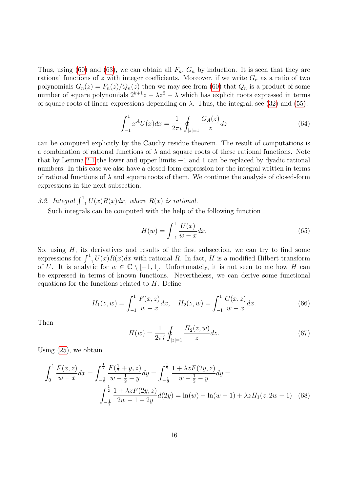Thus, using [\(60\)](#page-14-2) and [\(63\)](#page-14-3), we can obtain all  $F_n$ ,  $G_n$  by induction. It is seen that they are rational functions of z with integer coefficients. Moreover, if we write  $G_n$  as a ratio of two polynomials  $G_n(z) = P_n(z)/Q_n(z)$  then we may see from [\(60\)](#page-14-2) that  $Q_n$  is a product of some number of square polynomials  $2^{k+1}z - \lambda z^2 - \lambda$  which has explicit roots expressed in terms of square roots of linear expressions depending on  $\lambda$ . Thus, the integral, see [\(32\)](#page-9-1) and [\(55\)](#page-14-4),

$$
\int_{-1}^{1} x^A U(x) dx = \frac{1}{2\pi i} \oint_{|z|=1} \frac{G_A(z)}{z} dz
$$
\n(64)

can be computed explicitly by the Cauchy residue theorem. The result of computations is a combination of rational functions of  $\lambda$  and square roots of these rational functions. Note that by Lemma [2.1](#page-7-5) the lower and upper limits −1 and 1 can be replaced by dyadic rational numbers. In this case we also have a closed-form expression for the integral written in terms of rational functions of  $\lambda$  and square roots of them. We continue the analysis of closed-form expressions in the next subsection.

3.2. Integral  $\int_{-1}^{1} U(x)R(x)dx$ , where  $R(x)$  is rational.

Such integrals can be computed with the help of the following function

<span id="page-15-1"></span>
$$
H(w) = \int_{-1}^{1} \frac{U(x)}{w - x} dx.
$$
 (65)

So, using  $H$ , its derivatives and results of the first subsection, we can try to find some expressions for  $\int_{-1}^{1} U(x)R(x)dx$  with rational R. In fact, H is a modified Hilbert transform of U. It is analytic for  $w \in \mathbb{C} \setminus [-1,1]$ . Unfortunately, it is not seen to me how H can be expressed in terms of known functions. Nevertheless, we can derive some functional equations for the functions related to  $H$ . Define

$$
H_1(z, w) = \int_{-1}^1 \frac{F(x, z)}{w - x} dx, \quad H_2(z, w) = \int_{-1}^1 \frac{G(x, z)}{w - x} dx.
$$
 (66)

Then

<span id="page-15-0"></span>
$$
H(w) = \frac{1}{2\pi i} \oint_{|z|=1} \frac{H_2(z, w)}{z} dz.
$$
 (67)

Using [\(25\)](#page-8-2), we obtain

$$
\int_0^1 \frac{F(x, z)}{w - x} dx = \int_{-\frac{1}{2}}^{\frac{1}{2}} \frac{F(\frac{1}{2} + y, z)}{w - \frac{1}{2} - y} dy = \int_{-\frac{1}{2}}^{\frac{1}{2}} \frac{1 + \lambda z F(2y, z)}{w - \frac{1}{2} - y} dy =
$$

$$
\int_{-\frac{1}{2}}^{\frac{1}{2}} \frac{1 + \lambda z F(2y, z)}{2w - 1 - 2y} d(2y) = \ln(w) - \ln(w - 1) + \lambda z H_1(z, 2w - 1) \quad (68)
$$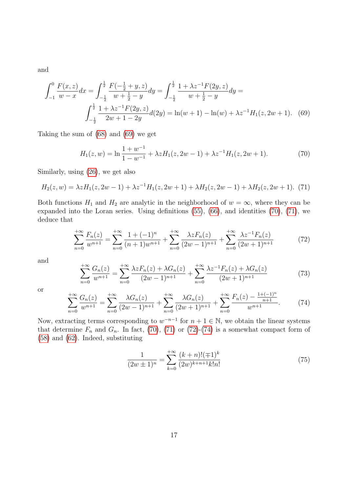and

$$
\int_{-1}^{0} \frac{F(x,z)}{w-x} dx = \int_{-\frac{1}{2}}^{\frac{1}{2}} \frac{F(-\frac{1}{2}+y,z)}{w+\frac{1}{2}-y} dy = \int_{-\frac{1}{2}}^{\frac{1}{2}} \frac{1+\lambda z^{-1} F(2y,z)}{w+\frac{1}{2}-y} dy =
$$

$$
\int_{-\frac{1}{2}}^{\frac{1}{2}} \frac{1+\lambda z^{-1} F(2y,z)}{2w+1-2y} d(2y) = \ln(w+1) - \ln(w) + \lambda z^{-1} H_1(z, 2w+1). \tag{69}
$$

Taking the sum of [\(68\)](#page-15-0) and [\(69\)](#page-16-0) we get

<span id="page-16-2"></span><span id="page-16-1"></span><span id="page-16-0"></span>
$$
H_1(z, w) = \ln \frac{1 + w^{-1}}{1 - w^{-1}} + \lambda z H_1(z, 2w - 1) + \lambda z^{-1} H_1(z, 2w + 1).
$$
 (70)

Similarly, using [\(26\)](#page-8-3), we get also

$$
H_2(z, w) = \lambda z H_1(z, 2w - 1) + \lambda z^{-1} H_1(z, 2w + 1) + \lambda H_2(z, 2w - 1) + \lambda H_2(z, 2w + 1). \tag{71}
$$

Both functions  $H_1$  and  $H_2$  are analytic in the neighborhood of  $w = \infty$ , where they can be expanded into the Loran series. Using definitions [\(55\)](#page-14-4), [\(66\)](#page-15-1), and identities [\(70\)](#page-16-1), [\(71\)](#page-16-2), we deduce that

<span id="page-16-3"></span>
$$
\sum_{n=0}^{+\infty} \frac{F_n(z)}{w^{n+1}} = \sum_{n=0}^{+\infty} \frac{1 + (-1)^n}{(n+1)w^{n+1}} + \sum_{n=0}^{+\infty} \frac{\lambda z F_n(z)}{(2w-1)^{n+1}} + \sum_{n=0}^{+\infty} \frac{\lambda z^{-1} F_n(z)}{(2w+1)^{n+1}} \tag{72}
$$

and

$$
\sum_{n=0}^{+\infty} \frac{G_n(z)}{w^{n+1}} = \sum_{n=0}^{+\infty} \frac{\lambda z F_n(z) + \lambda G_n(z)}{(2w-1)^{n+1}} + \sum_{n=0}^{+\infty} \frac{\lambda z^{-1} F_n(z) + \lambda G_n(z)}{(2w+1)^{n+1}} \tag{73}
$$

<span id="page-16-4"></span>or

$$
\sum_{n=0}^{+\infty} \frac{G_n(z)}{w^{n+1}} = \sum_{n=0}^{+\infty} \frac{\lambda G_n(z)}{(2w-1)^{n+1}} + \sum_{n=0}^{+\infty} \frac{\lambda G_n(z)}{(2w+1)^{n+1}} + \sum_{n=0}^{+\infty} \frac{F_n(z) - \frac{1+(-1)^n}{n+1}}{w^{n+1}}.
$$
 (74)

Now, extracting terms corresponding to  $w^{-n-1}$  for  $n+1 \in \mathbb{N}$ , we obtain the linear systems that determine  $F_n$  and  $G_n$ . In fact, [\(70\)](#page-16-1), [\(71\)](#page-16-2) or [\(72\)](#page-16-3)-[\(74\)](#page-16-4) is a somewhat compact form of [\(58\)](#page-14-1) and [\(62\)](#page-14-5). Indeed, substituting

$$
\frac{1}{(2w \pm 1)^n} = \sum_{k=0}^{+\infty} \frac{(k+n)!(\mp 1)^k}{(2w)^{k+n+1}k!n!}
$$
\n(75)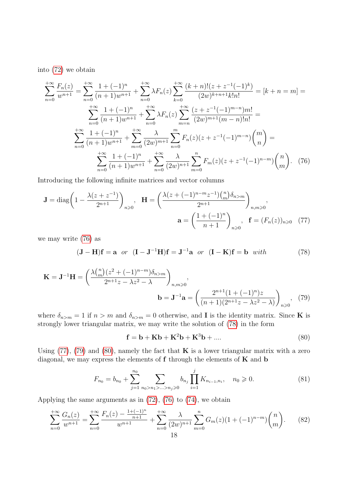into [\(72\)](#page-16-3) we obtain

$$
\sum_{n=0}^{+\infty} \frac{F_n(z)}{w^{n+1}} = \sum_{n=0}^{+\infty} \frac{1 + (-1)^n}{(n+1)w^{n+1}} + \sum_{n=0}^{+\infty} \lambda F_n(z) \sum_{k=0}^{+\infty} \frac{(k+n)!(z+z^{-1}(-1)^k)}{(2w)^{k+n+1}k!n!} = [k+n=m] =
$$
  

$$
\sum_{n=0}^{+\infty} \frac{1 + (-1)^n}{(n+1)w^{n+1}} + \sum_{n=0}^{+\infty} \lambda F_n(z) \sum_{m=n}^{+\infty} \frac{(z+z^{-1}(-1)^{m-n})m!}{(2w)^{m+1}(m-n)!n!} =
$$
  

$$
\sum_{n=0}^{+\infty} \frac{1 + (-1)^n}{(n+1)w^{n+1}} + \sum_{m=0}^{+\infty} \frac{\lambda}{(2w)^{m+1}} \sum_{n=0}^{m} F_n(z)(z+z^{-1}(-1)^{m-n}) {m \choose n} =
$$
  

$$
\sum_{n=0}^{+\infty} \frac{1 + (-1)^n}{(n+1)w^{n+1}} + \sum_{n=0}^{+\infty} \frac{\lambda}{(2w)^{n+1}} \sum_{m=0}^{n} F_m(z)(z+z^{-1}(-1)^{n-m}) {n \choose m}.
$$
 (76)

Introducing the following infinite matrices and vector columns

$$
\mathbf{J} = \text{diag}\left(1 - \frac{\lambda(z + z^{-1})}{2^{n+1}}\right)_{n \geq 0}, \quad \mathbf{H} = \left(\frac{\lambda(z + (-1)^{n-m}z^{-1})\binom{n}{m}\delta_{n>m}}{2^{n+1}}\right)_{n,m \geq 0},
$$
\n
$$
\mathbf{a} = \left(\frac{1 + (-1)^n}{n+1}\right)_{n \geq 0}, \quad \mathbf{f} = (F_n(z))_{n \geq 0} \quad (77)
$$

we may write [\(76\)](#page-17-2) as

<span id="page-17-3"></span><span id="page-17-2"></span>
$$
(\mathbf{J} - \mathbf{H})\mathbf{f} = \mathbf{a} \quad or \quad (\mathbf{I} - \mathbf{J}^{-1}\mathbf{H})\mathbf{f} = \mathbf{J}^{-1}\mathbf{a} \quad or \quad (\mathbf{I} - \mathbf{K})\mathbf{f} = \mathbf{b} \quad with \tag{78}
$$

$$
\mathbf{K} = \mathbf{J}^{-1} \mathbf{H} = \left( \frac{\lambda \binom{n}{m} (z^2 + (-1)^{n-m}) \delta_{n>m}}{2^{n+1} z - \lambda z^2 - \lambda} \right)_{n,m \ge 0},
$$
\n
$$
\mathbf{b} = \mathbf{J}^{-1} \mathbf{a} = \left( \frac{2^{n+1} (1 + (-1)^n) z}{(n+1) (2^{n+1} z - \lambda z^2 - \lambda)} \right)_{n \ge 0}, \tag{79}
$$

where  $\delta_{n>m} = 1$  if  $n > m$  and  $\delta_{n>m} = 0$  otherwise, and **I** is the identity matrix. Since **K** is strongly lower triangular matrix, we may write the solution of [\(78\)](#page-17-3) in the form

<span id="page-17-6"></span><span id="page-17-5"></span><span id="page-17-4"></span><span id="page-17-1"></span><span id="page-17-0"></span>
$$
\mathbf{f} = \mathbf{b} + \mathbf{K}\mathbf{b} + \mathbf{K}^2\mathbf{b} + \mathbf{K}^3\mathbf{b} + \dots
$$
 (80)

Using  $(77)$ ,  $(79)$  and  $(80)$ , namely the fact that **K** is a lower triangular matrix with a zero diagonal, we may express the elements of  $f$  through the elements of  $K$  and  $b$ 

$$
F_{n_0} = b_{n_0} + \sum_{j=1}^{n_0} \sum_{n_0 > n_1 > \ldots > n_j \ge 0} b_{n_j} \prod_{i=1}^j K_{n_{i-1}, n_i}, \quad n_0 \ge 0.
$$
 (81)

Applying the same arguments as in [\(72\)](#page-16-3), [\(76\)](#page-17-2) to [\(74\)](#page-16-4), we obtain

$$
\sum_{n=0}^{+\infty} \frac{G_n(z)}{w^{n+1}} = \sum_{n=0}^{+\infty} \frac{F_n(z) - \frac{1+(-1)^n}{n+1}}{w^{n+1}} + \sum_{n=0}^{+\infty} \frac{\lambda}{(2w)^{n+1}} \sum_{m=0}^{n} G_m(z) (1+(-1)^{n-m}) {n \choose m}.
$$
 (82)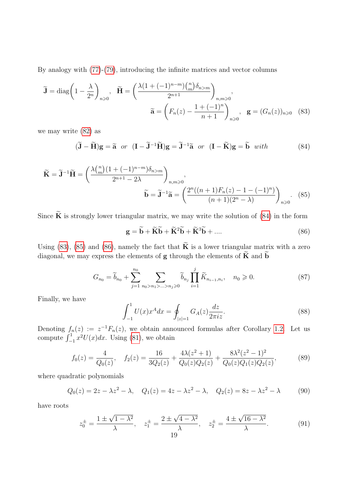By analogy with [\(77\)](#page-17-4)-[\(79\)](#page-17-1), introducing the infinite matrices and vector columns

$$
\widetilde{\mathbf{J}} = \text{diag}\left(1 - \frac{\lambda}{2^n}\right)_{n \geq 0}, \quad \widetilde{\mathbf{H}} = \left(\frac{\lambda \left(1 + (-1)^{n-m}\right) \binom{n}{m} \delta_{n>m}}{2^{n+1}}\right)_{n,m \geq 0},
$$
\n
$$
\widetilde{\mathbf{a}} = \left(F_n(z) - \frac{1 + (-1)^n}{n+1}\right)_{n \geq 0}, \quad \mathbf{g} = (G_n(z))_{n \geq 0} \quad (83)
$$

we may write [\(82\)](#page-17-6) as

<span id="page-18-3"></span>
$$
(\widetilde{\mathbf{J}} - \widetilde{\mathbf{H}})\mathbf{g} = \widetilde{\mathbf{a}} \quad or \quad (\mathbf{I} - \widetilde{\mathbf{J}}^{-1}\widetilde{\mathbf{H}})\mathbf{g} = \widetilde{\mathbf{J}}^{-1}\widetilde{\mathbf{a}} \quad or \quad (\mathbf{I} - \widetilde{\mathbf{K}})\mathbf{g} = \widetilde{\mathbf{b}} \quad with \tag{84}
$$

$$
\widetilde{\mathbf{K}} = \widetilde{\mathbf{J}}^{-1} \widetilde{\mathbf{H}} = \left( \frac{\lambda \binom{n}{m} (1 + (-1)^{n-m}) \delta_{n>m}}{2^{n+1} - 2\lambda} \right)_{n,m \ge 0},
$$
\n
$$
\widetilde{\mathbf{b}} = \widetilde{\mathbf{J}}^{-1} \widetilde{\mathbf{a}} = \left( \frac{2^n ((n+1) F_n(z) - 1 - (-1)^n)}{(n+1)(2^n - \lambda)} \right)_{n \ge 0}.
$$
\n(85)

Since  $\widetilde{\mathbf{K}}$  is strongly lower triangular matrix, we may write the solution of [\(84\)](#page-18-3) in the form

<span id="page-18-5"></span><span id="page-18-4"></span><span id="page-18-2"></span><span id="page-18-1"></span>
$$
\mathbf{g} = \widetilde{\mathbf{b}} + \widetilde{\mathbf{K}}\widetilde{\mathbf{b}} + \widetilde{\mathbf{K}}^2 \widetilde{\mathbf{b}} + \widetilde{\mathbf{K}}^3 \widetilde{\mathbf{b}} + \dots
$$
 (86)

Using [\(83\)](#page-18-4), [\(85\)](#page-18-2) and [\(86\)](#page-18-5), namely the fact that  $\widetilde{\mathbf{K}}$  is a lower triangular matrix with a zero diagonal, we may express the elements of  $g$  through the elements of  $K$  and  $b$ 

<span id="page-18-0"></span>
$$
G_{n_0} = \widetilde{b}_{n_0} + \sum_{j=1}^{n_0} \sum_{n_0 > n_1 > \ldots > n_j \ge 0} \widetilde{b}_{n_j} \prod_{i=1}^j \widetilde{K}_{n_{i-1}, n_i}, \quad n_0 \ge 0.
$$
 (87)

Finally, we have

$$
\int_{-1}^{1} U(x)x^{A}dx = \oint_{|z|=1} G_{A}(z)\frac{dz}{2\pi iz}.
$$
 (88)

Denoting  $f_n(z) := z^{-1} F_n(z)$ , we obtain announced formulas after Corollary [1.2.](#page-3-0) Let us compute  $\int_{-1}^{1} x^2 U(x) dx$ . Using [\(81\)](#page-17-0), we obtain

$$
f_0(z) = \frac{4}{Q_0(z)}, \quad f_2(z) = \frac{16}{3Q_2(z)} + \frac{4\lambda(z^2+1)}{Q_0(z)Q_2(z)} + \frac{8\lambda^2(z^2-1)^2}{Q_0(z)Q_1(z)Q_2(z)},\tag{89}
$$

where quadratic polynomials

$$
Q_0(z) = 2z - \lambda z^2 - \lambda, \quad Q_1(z) = 4z - \lambda z^2 - \lambda, \quad Q_2(z) = 8z - \lambda z^2 - \lambda
$$
 (90)

have roots

$$
z_0^{\pm} = \frac{1 \pm \sqrt{1 - \lambda^2}}{\lambda}, \quad z_1^{\pm} = \frac{2 \pm \sqrt{4 - \lambda^2}}{\lambda}, \quad z_2^{\pm} = \frac{4 \pm \sqrt{16 - \lambda^2}}{\lambda}.
$$
 (91)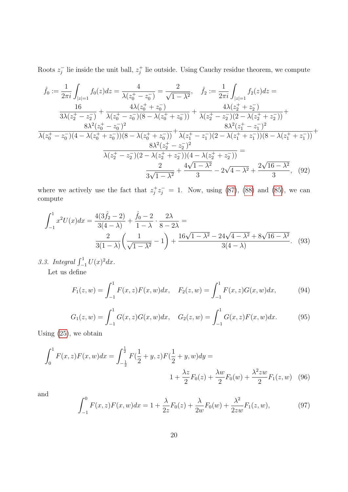Roots  $z_i^ \bar{j}$  lie inside the unit ball,  $z_j^+$  $j_j^+$  lie outside. Using Cauchy residue theorem, we compute

$$
\hat{f}_0 := \frac{1}{2\pi i} \int_{|z|=1} f_0(z)dz = \frac{4}{\lambda(z_0^+ - z_0^-)} = \frac{2}{\sqrt{1 - \lambda^2}}, \quad \hat{f}_2 := \frac{1}{2\pi i} \int_{|z|=1} f_2(z)dz = \frac{16}{3\lambda(z_2^+ - z_2^-)} + \frac{4\lambda(z_0^+ + z_0^-)}{\lambda(z_0^+ - z_0^-)(8 - \lambda(z_0^+ + z_0^-))} + \frac{4\lambda(z_2^+ + z_2^-)}{\lambda(z_2^+ - z_2^-)(2 - \lambda(z_2^+ + z_2^-))} + \frac{8\lambda^2(z_0^+ - z_0^-)^2}{\lambda(z_0^+ - z_0^-)(4 - \lambda(z_0^+ + z_0^-))(8 - \lambda(z_0^+ + z_0^-))} + \frac{8\lambda^2(z_1^+ - z_1^-)(2 - \lambda(z_1^+ + z_1^-))(8 - \lambda(z_1^+ + z_1^-))}{8\lambda^2(z_2^+ - z_2^-)^2} = \frac{2}{\lambda(z_2^+ - z_2^-)(2 - \lambda(z_2^+ + z_2^-))(4 - \lambda(z_2^+ + z_2^-))} = \frac{2}{3\sqrt{1 - \lambda^2}} + \frac{4\sqrt{1 - \lambda^2}}{3} - 2\sqrt{4 - \lambda^2} + \frac{2\sqrt{16 - \lambda^2}}{3}, \quad (92)
$$

where we actively use the fact that  $z_i^+$  $j^+z^+_j = 1$ . Now, using [\(87\)](#page-18-1), [\(88\)](#page-18-0) and [\(85\)](#page-18-2), we can compute

$$
\int_{-1}^{1} x^{2} U(x) dx = \frac{4(3\hat{f}_{2} - 2)}{3(4 - \lambda)} + \frac{\hat{f}_{0} - 2}{1 - \lambda} \cdot \frac{2\lambda}{8 - 2\lambda} =
$$

$$
\frac{2}{3(1 - \lambda)} \left(\frac{1}{\sqrt{1 - \lambda^{2}}} - 1\right) + \frac{16\sqrt{1 - \lambda^{2}} - 24\sqrt{4 - \lambda^{2}} + 8\sqrt{16 - \lambda^{2}}}{3(4 - \lambda)}.
$$
(93)

3.3. Integral 
$$
\int_{-1}^{1} U(x)^2 dx
$$
.  
Let us define

Let us define

<span id="page-19-1"></span><span id="page-19-0"></span>
$$
F_1(z, w) = \int_{-1}^1 F(x, z) F(x, w) dx, \quad F_2(z, w) = \int_{-1}^1 F(x, z) G(x, w) dx,
$$
 (94)

$$
G_1(z, w) = \int_{-1}^{1} G(x, z)G(x, w)dx, \quad G_2(z, w) = \int_{-1}^{1} G(x, z)F(x, w)dx.
$$
 (95)

<span id="page-19-2"></span>Using [\(25\)](#page-8-2), we obtain

$$
\int_0^1 F(x, z) F(x, w) dx = \int_{-\frac{1}{2}}^{\frac{1}{2}} F(\frac{1}{2} + y, z) F(\frac{1}{2} + y, w) dy =
$$
  

$$
1 + \frac{\lambda z}{2} F_0(z) + \frac{\lambda w}{2} F_0(w) + \frac{\lambda^2 z w}{2} F_1(z, w) \quad (96)
$$

and

$$
\int_{-1}^{0} F(x, z) F(x, w) dx = 1 + \frac{\lambda}{2z} F_0(z) + \frac{\lambda}{2w} F_0(w) + \frac{\lambda^2}{2zw} F_1(z, w), \tag{97}
$$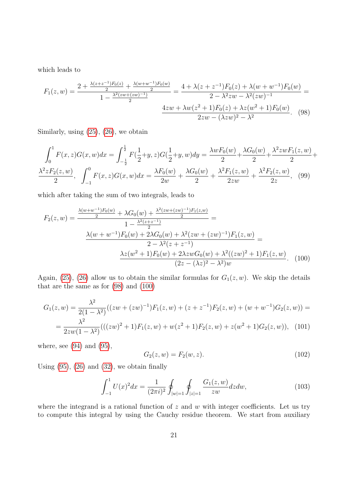which leads to

<span id="page-20-0"></span>
$$
F_1(z, w) = \frac{2 + \frac{\lambda(z + z^{-1})F_0(z)}{2} + \frac{\lambda(w + w^{-1})F_0(w)}{2}}{1 - \frac{\lambda^2(zw + (zw)^{-1})}{2}} = \frac{4 + \lambda(z + z^{-1})F_0(z) + \lambda(w + w^{-1})F_0(w)}{2 - \lambda^2 zw - \lambda^2(zw)^{-1}} = \frac{4zw + \lambda w(z^2 + 1)F_0(z) + \lambda z(w^2 + 1)F_0(w)}{2zw - (\lambda zw)^2 - \lambda^2}.
$$
 (98)

Similarly, using [\(25\)](#page-8-2), [\(26\)](#page-8-3), we obtain

$$
\int_0^1 F(x, z)G(x, w)dx = \int_{-\frac{1}{2}}^{\frac{1}{2}} F(\frac{1}{2} + y, z)G(\frac{1}{2} + y, w)dy = \frac{\lambda w F_0(w)}{2} + \frac{\lambda G_0(w)}{2} + \frac{\lambda^2 z w F_1(z, w)}{2} + \frac{\lambda^2 z F_2(z, w)}{2},
$$
  

$$
\frac{\lambda^2 z F_2(z, w)}{2}, \quad \int_{-1}^0 F(x, z)G(x, w)dx = \frac{\lambda F_0(w)}{2w} + \frac{\lambda G_0(w)}{2} + \frac{\lambda^2 F_1(z, w)}{2zw} + \frac{\lambda^2 F_2(z, w)}{2z},
$$
 (99)

which after taking the sum of two integrals, leads to

$$
F_2(z, w) = \frac{\frac{\lambda(w + w^{-1})F_0(w)}{2} + \lambda G_0(w) + \frac{\lambda^2(zw + (zw)^{-1})F_1(z, w)}{2}}{1 - \frac{\lambda^2(z + z^{-1})}{2}} =
$$

$$
\frac{\lambda(w + w^{-1})F_0(w) + 2\lambda G_0(w) + \lambda^2(zw + (zw)^{-1})F_1(z, w)}{2 - \lambda^2(z + z^{-1})} =
$$

$$
\frac{\lambda z(w^2 + 1)F_0(w) + 2\lambda zwG_0(w) + \lambda^2((zw)^2 + 1)F_1(z, w)}{(2z - (\lambda z)^2 - \lambda^2)w}.
$$
(100)

Again, [\(25\)](#page-8-2), [\(26\)](#page-8-3) allow us to obtain the similar formulas for  $G_1(z, w)$ . We skip the details that are the same as for [\(98\)](#page-20-0) and [\(100\)](#page-20-1)

$$
G_1(z, w) = \frac{\lambda^2}{2(1 - \lambda^2)}((zw + (zw)^{-1})F_1(z, w) + (z + z^{-1})F_2(z, w) + (w + w^{-1})G_2(z, w)) =
$$
  
= 
$$
\frac{\lambda^2}{2zw(1 - \lambda^2)}(((zw)^2 + 1)F_1(z, w) + w(z^2 + 1)F_2(z, w) + z(w^2 + 1)G_2(z, w)),
$$
 (101)

where, see  $(94)$  and  $(95)$ ,

<span id="page-20-4"></span><span id="page-20-3"></span><span id="page-20-2"></span><span id="page-20-1"></span>
$$
G_2(z, w) = F_2(w, z). \tag{102}
$$

Using  $(95)$ ,  $(26)$  and  $(32)$ , we obtain finally

$$
\int_{-1}^{1} U(x)^2 dx = \frac{1}{(2\pi i)^2} \oint_{|w|=1} \oint_{|z|=1} \frac{G_1(z, w)}{zw} dz dw,
$$
\n(103)

where the integrand is a rational function of  $z$  and  $w$  with integer coefficients. Let us try to compute this integral by using the Cauchy residue theorem. We start from auxiliary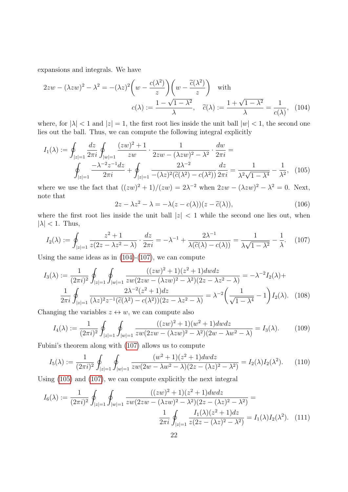expansions and integrals. We have

$$
2zw - (\lambda zw)^2 - \lambda^2 = -(\lambda z)^2 \left(w - \frac{c(\lambda^2)}{z}\right) \left(w - \frac{\tilde{c}(\lambda^2)}{z}\right) \quad \text{with}
$$

$$
c(\lambda) := \frac{1 - \sqrt{1 - \lambda^2}}{\lambda}, \quad \tilde{c}(\lambda) := \frac{1 + \sqrt{1 - \lambda^2}}{\lambda} = \frac{1}{c(\lambda)}, \quad (104)
$$

where, for  $|\lambda| < 1$  and  $|z| = 1$ , the first root lies inside the unit ball  $|w| < 1$ , the second one lies out the ball. Thus, we can compute the following integral explicitly

$$
I_1(\lambda) := \oint_{|z|=1} \frac{dz}{2\pi i} \oint_{|w|=1} \frac{(zw)^2 + 1}{zw} \cdot \frac{1}{2zw - (\lambda zw)^2 - \lambda^2} \cdot \frac{dw}{2\pi i} =
$$
  

$$
\oint_{|z|=1} \frac{-\lambda^{-2}z^{-1}dz}{2\pi i} + \oint_{|z|=1} \frac{2\lambda^{-2}}{-(\lambda z)^2(\tilde{c}(\lambda^2) - c(\lambda^2))} \frac{dz}{2\pi i} = \frac{1}{\lambda^2 \sqrt{1 - \lambda^4}} - \frac{1}{\lambda^2},
$$
(105)

where we use the fact that  $((zw)^2 + 1)/(zw) = 2\lambda^{-2}$  when  $2zw - (\lambda zw)^2 - \lambda^2 = 0$ . Next, note that

<span id="page-21-3"></span><span id="page-21-2"></span><span id="page-21-1"></span><span id="page-21-0"></span>
$$
2z - \lambda z^2 - \lambda = -\lambda (z - c(\lambda))(z - \tilde{c}(\lambda)),\tag{106}
$$

where the first root lies inside the unit ball  $|z|$  < 1 while the second one lies out, when  $|\lambda|$  < 1. Thus,

$$
I_2(\lambda) := \oint_{|z|=1} \frac{z^2 + 1}{z(2z - \lambda z^2 - \lambda)} \cdot \frac{dz}{2\pi i} = -\lambda^{-1} + \frac{2\lambda^{-1}}{\lambda(\tilde{c}(\lambda) - c(\lambda))} = \frac{1}{\lambda\sqrt{1 - \lambda^2}} - \frac{1}{\lambda}.
$$
 (107)

Using the same ideas as in  $(104)-(107)$  $(104)-(107)$  $(104)-(107)$ , we can compute

$$
I_3(\lambda) := \frac{1}{(2\pi i)^2} \oint_{|z|=1} \oint_{|w|=1} \frac{((zw)^2 + 1)(z^2 + 1)dw dz}{zw(2zw - (\lambda zw)^2 - \lambda^2)(2z - \lambda z^2 - \lambda)} = -\lambda^{-2} I_2(\lambda) + \frac{1}{2\pi i} \oint_{|z|=1} \frac{2\lambda^{-2}(z^2 + 1)dz}{(\lambda z)^2 z^{-1}(\tilde{c}(\lambda^2) - c(\lambda^2))(2z - \lambda z^2 - \lambda)} = \lambda^{-2} \left(\frac{1}{\sqrt{1 - \lambda^4}} - 1\right) I_2(\lambda). \tag{108}
$$

Changing the variables  $z \leftrightarrow w$ , we can compute also

<span id="page-21-4"></span>
$$
I_4(\lambda) := \frac{1}{(2\pi i)^2} \oint_{|z|=1} \oint_{|w|=1} \frac{((zw)^2 + 1)(w^2 + 1)dwdz}{zw(2zw - (\lambda zw)^2 - \lambda^2)(2w - \lambda w^2 - \lambda)} = I_3(\lambda). \tag{109}
$$

Fubini's theorem along with [\(107\)](#page-21-1) allows us to compute

$$
I_5(\lambda) := \frac{1}{(2\pi i)^2} \oint_{|z|=1} \oint_{|w|=1} \frac{(w^2+1)(z^2+1)dwdz}{zw(2w-\lambda w^2-\lambda)(2z-(\lambda z)^2-\lambda^2)} = I_2(\lambda)I_2(\lambda^2). \tag{110}
$$

Using [\(105\)](#page-21-2) and [\(107\)](#page-21-1), we can compute explicitly the next integral

$$
I_6(\lambda) := \frac{1}{(2\pi i)^2} \oint_{|z|=1} \oint_{|w|=1} \frac{((zw)^2 + 1)(z^2 + 1)dw dz}{zw(2zw - (\lambda zw)^2 - \lambda^2)(2z - (\lambda z)^2 - \lambda^2)} =
$$

$$
\frac{1}{2\pi i} \oint_{|z|=1} \frac{I_1(\lambda)(z^2 + 1)dz}{z(2z - (\lambda z)^2 - \lambda^2)} = I_1(\lambda)I_2(\lambda^2). \tag{111}
$$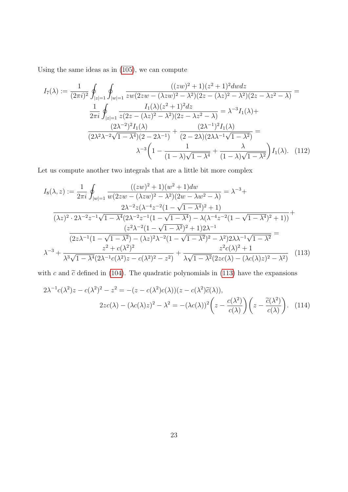Using the same ideas as in [\(105\)](#page-21-2), we can compute

$$
I_{7}(\lambda) := \frac{1}{(2\pi i)^{2}} \oint_{|z|=1} \oint_{|w|=1} \frac{((zw)^{2} + 1)(z^{2} + 1)^{2}dw dz}{zw(2zw - (\lambda zw)^{2} - \lambda^{2})(2z - (\lambda z)^{2} - \lambda^{2})(2z - \lambda z^{2} - \lambda)} = \frac{1}{2\pi i} \oint_{|z|=1} \frac{I_{1}(\lambda)(z^{2} + 1)^{2}dz}{z(2z - (\lambda z)^{2} - \lambda^{2})(2z - \lambda z^{2} - \lambda)} = \lambda^{-3}I_{1}(\lambda) + \frac{(2\lambda^{-2})^{2}I_{1}(\lambda)}{(2\lambda^{2}\lambda^{-2}\sqrt{1 - \lambda^{4}})(2 - 2\lambda^{-1})} + \frac{(2\lambda^{-1})^{2}I_{1}(\lambda)}{(2 - 2\lambda)(2\lambda\lambda^{-1}\sqrt{1 - \lambda^{2}})} = \lambda^{-3} \left(1 - \frac{1}{(1 - \lambda)\sqrt{1 - \lambda^{4}}} + \frac{\lambda}{(1 - \lambda)\sqrt{1 - \lambda^{2}}}\right)I_{1}(\lambda). \quad (112)
$$

Let us compute another two integrals that are a little bit more complex

<span id="page-22-2"></span>
$$
I_{8}(\lambda, z) := \frac{1}{2\pi i} \oint_{|w|=1} \frac{((zw)^{2} + 1)(w^{2} + 1)dw}{w(2zw - (\lambda zw)^{2} - \lambda^{2})(2w - \lambda w^{2} - \lambda)} = \lambda^{-3} + \frac{2\lambda^{-2}z(\lambda^{-4}z^{-2}(1 - \sqrt{1 - \lambda^{4}})^{2} + 1)}{(\lambda z)^{2} \cdot 2\lambda^{-2}z^{-1}\sqrt{1 - \lambda^{4}}(2\lambda^{-2}z^{-1}(1 - \sqrt{1 - \lambda^{4}}) - \lambda(\lambda^{-4}z^{-2}(1 - \sqrt{1 - \lambda^{4}})^{2} + 1))} + \frac{(z^{2}\lambda^{-2}(1 - \sqrt{1 - \lambda^{2}})^{2} + 1)2\lambda^{-1}}{(2z\lambda^{-1}(1 - \sqrt{1 - \lambda^{2}}) - (\lambda z)^{2}\lambda^{-2}(1 - \sqrt{1 - \lambda^{2}})^{2} - \lambda^{2})2\lambda\lambda^{-1}\sqrt{1 - \lambda^{2}}} = \lambda^{-3} + \frac{z^{2} + c(\lambda^{2})^{2}}{\lambda^{3}\sqrt{1 - \lambda^{4}}(2\lambda^{-1}c(\lambda^{2})z - c(\lambda^{2})^{2} - z^{2})} + \frac{z^{2}c(\lambda)^{2} + 1}{\lambda\sqrt{1 - \lambda^{2}}(2zc(\lambda) - (\lambda c(\lambda)z)^{2} - \lambda^{2})} \tag{113}
$$

with c and  $\tilde{c}$  defined in [\(104\)](#page-21-0). The quadratic polynomials in [\(113\)](#page-22-0) have the expansions

<span id="page-22-1"></span><span id="page-22-0"></span>
$$
2\lambda^{-1}c(\lambda^2)z - c(\lambda^2)^2 - z^2 = -(z - c(\lambda^2)c(\lambda))(z - c(\lambda^2)\tilde{c}(\lambda)),
$$
  

$$
2zc(\lambda) - (\lambda c(\lambda)z)^2 - \lambda^2 = -(\lambda c(\lambda))^2 \left(z - \frac{c(\lambda^2)}{c(\lambda)}\right) \left(z - \frac{\tilde{c}(\lambda^2)}{c(\lambda)}\right).
$$
 (114)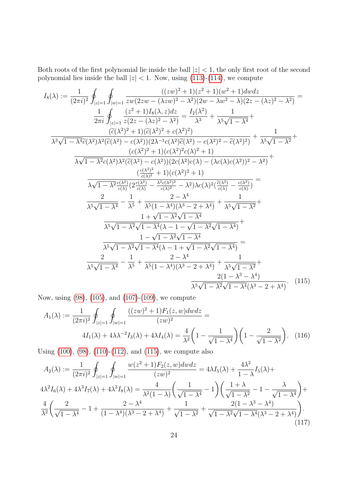Both roots of the first polynomial lie inside the ball  $|z| < 1$ , the only first root of the second polynomial lies inside the ball  $|z| < 1$ . Now, using [\(113\)](#page-22-0)-[\(114\)](#page-22-1), we compute

$$
I_{8}(\lambda) := \frac{1}{(2\pi i)^{2}} \oint_{|z|=1} \oint_{|w|=1} \frac{((zw)^{2} + 1)(z^{2} + 1)(w^{2} + 1)dw dz}{zw(2zw - (\lambda zw)^{2} - \lambda^{2})(2w - \lambda w^{2} - \lambda)(2z - (\lambda z)^{2} - \lambda^{2})} = \frac{1}{2\pi i} \oint_{|z|=1} \frac{(z^{2} + 1)I_{8}(\lambda, z)dz}{z(2z - (\lambda z)^{2} - \lambda^{2})} = \frac{I_{2}(\lambda^{2})}{\lambda^{3}} + \frac{1}{\lambda^{5}\sqrt{1 - \lambda^{4}}} + \frac{(\tilde{c}(\lambda^{2})^{2} + 1)(\tilde{c}(\lambda^{2})^{2} + c(\lambda^{2})^{2})}{(\tilde{c}(\lambda^{2}) - c(\lambda^{2}))(2\lambda^{-1}c(\lambda^{2})\tilde{c}(\lambda^{2}) - c(\lambda^{2})^{2} - \tilde{c}(\lambda^{2})^{2})} + \frac{1}{\lambda^{5}\sqrt{1 - \lambda^{2}}} + \frac{((\lambda^{2})^{2} + 1)(c(\lambda^{2})^{2} + c(\lambda^{2})^{2})}{(\lambda\sqrt{1 - \lambda^{2}}c(\lambda^{2})\lambda^{2}(\tilde{c}(\lambda^{2}) - c(\lambda^{2}))(2c(\lambda^{2})c(\lambda) - (\lambda c(\lambda)c(\lambda^{2}))^{2} - \lambda^{2})} + \frac{(\frac{c(\lambda^{2})^{2}}{c(\lambda)^{2}} + 1)(c(\lambda^{2})^{2} + 1)}{\lambda\sqrt{1 - \lambda^{2}}c(\lambda^{2})^{2}} + \frac{(\frac{c(\lambda^{2})^{2}}{c(\lambda)^{2}} - \frac{\lambda^{2}c(\lambda^{2})^{2}}{c(\lambda)^{2}} - \lambda^{2})\lambda c(\lambda)^{2}(\frac{\tilde{c}(\lambda^{2})}{c(\lambda)} - \frac{c(\lambda^{2})}{c(\lambda)})} = \frac{2}{\lambda^{5}\sqrt{1 - \lambda^{4}}} - \frac{1}{\lambda^{5}} + \frac{2 - \lambda^{4}}{\lambda^{5}(1 - \lambda^{4})(\lambda^{3} - 2 + \lambda^{4})} + \frac{1}{\lambda^{5}\sqrt{1 - \lambda^{2}}} + \frac{1 + \sqrt{1 - \lambda^{2}}\sqrt{1 - \lambda^{4}}} + \frac{1 - \sqrt{1 - \lambda^{2}}\sqrt{1
$$

Now, using [\(98\)](#page-20-0), [\(105\)](#page-21-2), and [\(107\)](#page-21-1)-[\(109\)](#page-21-3), we compute

<span id="page-23-2"></span><span id="page-23-0"></span>
$$
A_1(\lambda) := \frac{1}{(2\pi i)^2} \oint_{|z|=1} \oint_{|w|=1} \frac{((zw)^2 + 1)F_1(z, w)dw dz}{(zw)^2} =
$$
  

$$
4I_1(\lambda) + 4\lambda \lambda^{-2} I_3(\lambda) + 4\lambda I_4(\lambda) = \frac{4}{\lambda^2} \left(1 - \frac{1}{\sqrt{1 - \lambda^4}}\right) \left(1 - \frac{2}{\sqrt{1 - \lambda^2}}\right).
$$
 (116)

Using [\(100\)](#page-20-1), [\(98\)](#page-20-0), [\(110\)](#page-21-4)-[\(112\)](#page-22-2), and [\(115\)](#page-23-0), we compute also

<span id="page-23-1"></span>
$$
A_2(\lambda) := \frac{1}{(2\pi i)^2} \oint_{|z|=1} \oint_{|w|=1} \frac{w(z^2+1)F_2(z,w)dwdz}{(zw)^2} = 4\lambda I_5(\lambda) + \frac{4\lambda^2}{1-\lambda}I_5(\lambda) + 4\lambda^2 I_6(\lambda) + 4\lambda^3 I_7(\lambda) + 4\lambda^3 I_8(\lambda) = \frac{4}{\lambda^2 (1-\lambda)} \left(\frac{1}{\sqrt{1-\lambda^4}} - 1\right) \left(\frac{1+\lambda}{\sqrt{1-\lambda^2}} - 1 - \frac{\lambda}{\sqrt{1-\lambda^4}}\right) + \frac{4}{\lambda^2} \left(\frac{2}{\sqrt{1-\lambda^4}} - 1 + \frac{2-\lambda^4}{(1-\lambda^4)(\lambda^3 - 2 + \lambda^4)} + \frac{1}{\sqrt{1-\lambda^2}} + \frac{2(1-\lambda^3 - \lambda^4)}{\sqrt{1-\lambda^2}\sqrt{1-\lambda^4}(\lambda^3 - 2 + \lambda^4)}\right).
$$
\n(117)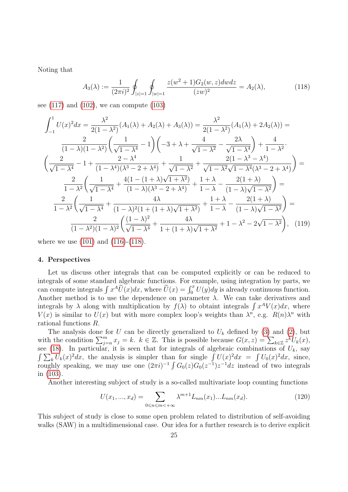Noting that

<span id="page-24-2"></span><span id="page-24-0"></span>
$$
A_3(\lambda) := \frac{1}{(2\pi i)^2} \oint_{|z|=1} \oint_{|w|=1} \frac{z(w^2+1)G_2(w,z)dwdz}{(zw)^2} = A_2(\lambda),\tag{118}
$$

see  $(117)$  and  $(102)$ , we can compute  $(103)$ 

$$
\int_{-1}^{1} U(x)^{2} dx = \frac{\lambda^{2}}{2(1 - \lambda^{2})} (A_{1}(\lambda) + A_{2}(\lambda) + A_{3}(\lambda)) = \frac{\lambda^{2}}{2(1 - \lambda^{2})} (A_{1}(\lambda) + 2A_{2}(\lambda)) =
$$
\n
$$
\frac{2}{(1 - \lambda)(1 - \lambda^{2})} \left( \frac{1}{\sqrt{1 - \lambda^{4}}} - 1 \right) \left( -3 + \lambda + \frac{4}{\sqrt{1 - \lambda^{2}}} - \frac{2\lambda}{\sqrt{1 - \lambda^{4}}} \right) + \frac{4}{1 - \lambda^{2}}.
$$
\n
$$
\left( \frac{2}{\sqrt{1 - \lambda^{4}}} - 1 + \frac{2 - \lambda^{4}}{(1 - \lambda^{4})(\lambda^{3} - 2 + \lambda^{4})} + \frac{1}{\sqrt{1 - \lambda^{2}}} + \frac{2(1 - \lambda^{3} - \lambda^{4})}{\sqrt{1 - \lambda^{2}}\sqrt{1 - \lambda^{4}}(\lambda^{3} - 2 + \lambda^{4})} \right) =
$$
\n
$$
\frac{2}{1 - \lambda^{2}} \left( \frac{1}{\sqrt{1 - \lambda^{4}}} + \frac{4(1 - (1 + \lambda)\sqrt{1 + \lambda^{2}})}{(1 - \lambda)(\lambda^{3} - 2 + \lambda^{4})} + \frac{1 + \lambda}{1 - \lambda} - \frac{2(1 + \lambda)}{(1 - \lambda)\sqrt{1 - \lambda^{2}}} \right) =
$$
\n
$$
\frac{2}{1 - \lambda^{2}} \left( \frac{1}{\sqrt{1 - \lambda^{4}}} + \frac{4\lambda}{(1 - \lambda)^{2}(1 + (1 + \lambda)\sqrt{1 + \lambda^{2}})} + \frac{1 + \lambda}{1 - \lambda} - \frac{2(1 + \lambda)}{(1 - \lambda)\sqrt{1 - \lambda^{2}}} \right) =
$$
\n
$$
\frac{2}{(1 - \lambda^{2})(1 - \lambda)^{2}} \left( \frac{(1 - \lambda)^{2}}{\sqrt{1 - \lambda^{4}}} + \frac{4\lambda}{1 + (1 + \lambda)\sqrt{1 + \lambda^{2}}} + 1 - \lambda^{2} - 2\sqrt{1 - \lambda^{2}} \right), \quad (119)
$$

where we use [\(101\)](#page-20-4) and [\(116\)](#page-23-2)-[\(118\)](#page-24-2).

### <span id="page-24-1"></span>4. Perspectives

Let us discuss other integrals that can be computed explicitly or can be reduced to integrals of some standard algebraic functions. For example, using integration by parts, we can compute integrals  $\int x^A \widetilde{U}(x) dx$ , where  $\widetilde{U}(x) = \int_0^x U(y) dy$  is already continuous function. Another method is to use the dependence on parameter  $\lambda$ . We can take derivatives and integrals by  $\lambda$  along with multiplication by  $f(\lambda)$  to obtaint integrals  $\int x^A V(x) dx$ , where  $V(x)$  is similar to  $U(x)$  but with more complex loop's weights than  $\lambda^n$ , e.g.  $R(n)\lambda^n$  with rational functions R.

The analysis done for U can be directly generalized to  $U_k$  defined by [\(3\)](#page-1-4) and [\(2\)](#page-1-5), but with the condition  $\sum_{j=n}^{m} x_j = k$ .  $k \in \mathbb{Z}$ . This is possible because  $G(x, z) = \sum_{k \in \mathbb{Z}} z^k U_k(x)$ , see [\(18\)](#page-7-3). In particular, it is seen that for integrals of algebraic combinations of  $U_k$ , say  $\int \sum_{k} U_k(x)^2 dx$ , the analysis is simpler than for single  $\int U(x)^2 dx = \int U_0(x)^2 dx$ , since, roughly speaking, we may use one  $(2\pi i)^{-1} \int G_0(z)G_0(z^{-1})z^{-1}dz$  instead of two integrals in [\(103\)](#page-20-3).

Another interesting subject of study is a so-called multivariate loop counting functions

<span id="page-24-3"></span>
$$
U(x_1, ..., x_d) = \sum_{0 \le n \le m < +\infty} \lambda^{m+1} L_{nm}(x_1) ... L_{nm}(x_d). \tag{120}
$$

This subject of study is close to some open problem related to distribution of self-avoiding walks (SAW) in a multidimensional case. Our idea for a further research is to derive explicit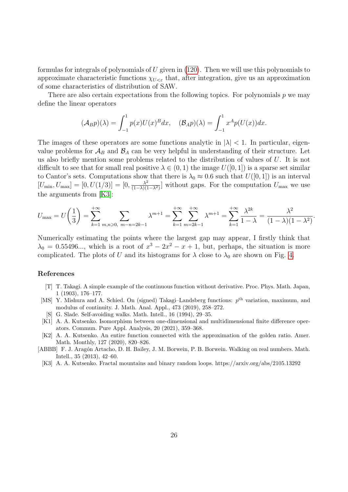formulas for integrals of polynomials of  $U$  given in [\(120\)](#page-24-3). Then we will use this polynomials to approximate characteristic functions  $\chi_{U<\varepsilon}$  that, after integration, give us an approximation of some characteristics of distribution of SAW.

There are also certain expectations from the following topics. For polynomials  $p$  we may define the linear operators

$$
(\mathcal{A}_B p)(\lambda) = \int_{-1}^1 p(x)U(x)^B dx, \quad (\mathcal{B}_A p)(\lambda) = \int_{-1}^1 x^A p(U(x)) dx.
$$

The images of these operators are some functions analytic in  $|\lambda| < 1$ . In particular, eigenvalue problems for  $\mathcal{A}_B$  and  $\mathcal{B}_A$  can be very helpful in understanding of their structure. Let us also briefly mention some problems related to the distribution of values of U. It is not difficult to see that for small real positive  $\lambda \in (0,1)$  the image  $U([0,1])$  is a sparse set similar to Cantor's sets. Computations show that there is  $\lambda_0 \approx 0.6$  such that  $U([0, 1])$  is an interval  $[U_{\min}, U_{\max}] = [0, U(1/3)] = [0, \frac{\lambda^2}{(1-\lambda)(1)}]$  $\frac{\lambda^2}{(1-\lambda)(1-\lambda^2)}$  without gaps. For the computation  $U_{\text{max}}$  we use the arguments from [\[K3\]](#page-25-6):

$$
U_{\max} = U\left(\frac{1}{3}\right) = \sum_{k=1}^{+\infty} \sum_{m,n\geqslant 0, \ m-n=2k-1} \lambda^{m+1} = \sum_{k=1}^{+\infty} \sum_{m=2k-1}^{+\infty} \lambda^{m+1} = \sum_{k=1}^{+\infty} \frac{\lambda^{2k}}{1-\lambda} = \frac{\lambda^2}{(1-\lambda)(1-\lambda^2)}.
$$

Numerically estimating the points where the largest gap may appear, I firstly think that  $\lambda_0 = 0.55496...,$  which is a root of  $x^3 - 2x^2 - x + 1$ , but, perhaps, the situation is more complicated. The plots of U and its histograms for  $\lambda$  close to  $\lambda_0$  are shown on Fig. [4.](#page-26-0)

#### References

- <span id="page-25-0"></span>[T] T. Takagi. A simple example of the continuous function without derivative. Proc. Phys. Math. Japan, 1 (1903), 176–177.
- <span id="page-25-1"></span>[MS] Y. Mishura and A. Schied. On (signed) Takagi-Landsberg functions:  $p<sup>th</sup>$  variation, maximum, and modulus of continuity. J. Math. Anal. Appl., 473 (2019), 258–272.
- <span id="page-25-2"></span>[S] G. Slade. Self-avoiding walks. Math. Intell., 16 (1994), 29–35.
- <span id="page-25-4"></span>[K1] A. A. Kutsenko. Isomorphism between one-dimensional and multidimensional finite difference operators. Commun. Pure Appl. Analysis, 20 (2021), 359–368.
- <span id="page-25-5"></span>[K2] A. A. Kutsenko. An entire function connected with the approximation of the golden ratio. Amer. Math. Monthly, 127 (2020), 820–826.
- <span id="page-25-3"></span>[ABBB] F. J. Aragón Artacho, D. H. Bailey, J. M. Borwein, P. B. Borwein. Walking on real numbers. Math. Intell., 35 (2013), 42–60.
- <span id="page-25-6"></span>[K3] A. A. Kutsenko. Fractal mountains and binary random loops. https://arxiv.org/abs/2105.13292